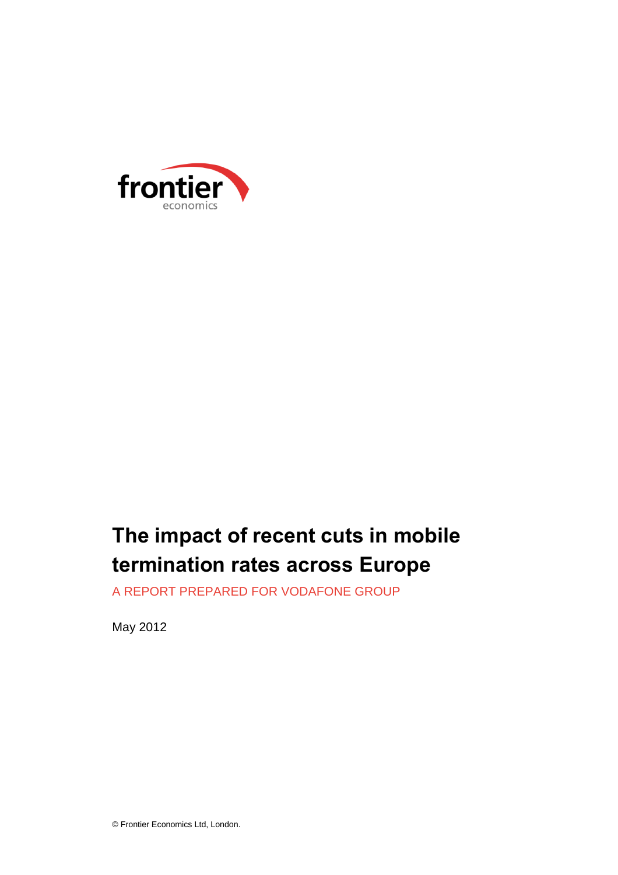

# **The impact of recent cuts in mobile termination rates across Europe**

A REPORT PREPARED FOR VODAFONE GROUP

May 2012

© Frontier Economics Ltd, London.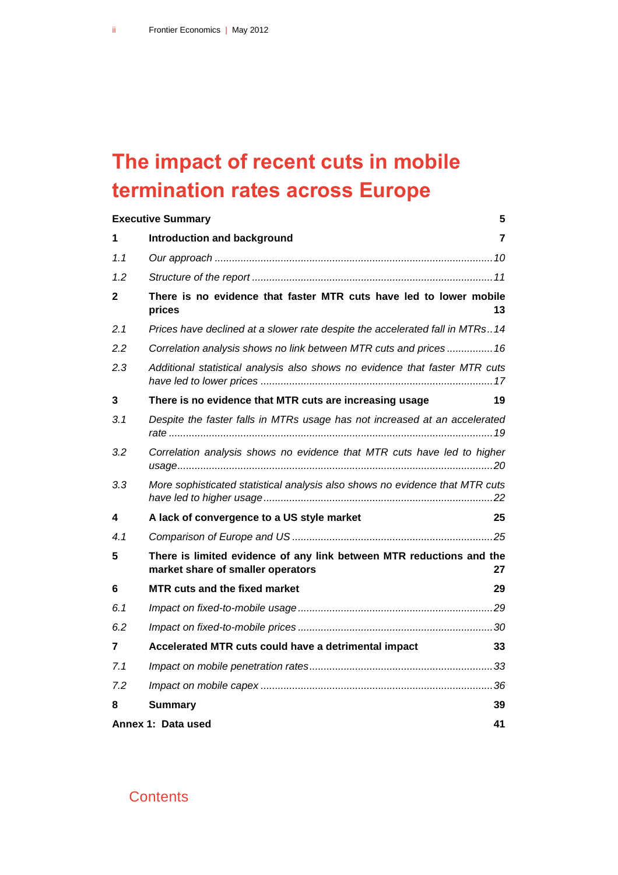# **The impact of recent cuts in mobile termination rates across Europe**

|     | <b>Executive Summary</b>                                                                                  | 5  |
|-----|-----------------------------------------------------------------------------------------------------------|----|
| 1   | Introduction and background                                                                               | 7  |
| 1.1 |                                                                                                           |    |
| 1.2 |                                                                                                           |    |
| 2   | There is no evidence that faster MTR cuts have led to lower mobile<br>prices                              | 13 |
| 2.1 | Prices have declined at a slower rate despite the accelerated fall in MTRs14                              |    |
| 2.2 | Correlation analysis shows no link between MTR cuts and prices  16                                        |    |
| 2.3 | Additional statistical analysis also shows no evidence that faster MTR cuts                               |    |
| 3   | There is no evidence that MTR cuts are increasing usage                                                   | 19 |
| 3.1 | Despite the faster falls in MTRs usage has not increased at an accelerated                                |    |
| 3.2 | Correlation analysis shows no evidence that MTR cuts have led to higher                                   |    |
| 3.3 | More sophisticated statistical analysis also shows no evidence that MTR cuts                              |    |
| 4   | A lack of convergence to a US style market                                                                | 25 |
| 4.1 |                                                                                                           |    |
| 5   | There is limited evidence of any link between MTR reductions and the<br>market share of smaller operators | 27 |
| 6   | MTR cuts and the fixed market                                                                             | 29 |
| 6.1 |                                                                                                           |    |
| 6.2 |                                                                                                           |    |
| 7   | Accelerated MTR cuts could have a detrimental impact                                                      | 33 |
| 7.1 |                                                                                                           |    |
| 7.2 |                                                                                                           |    |
| 8   | <b>Summary</b>                                                                                            | 39 |
|     | Annex 1: Data used                                                                                        | 41 |

#### **Contents**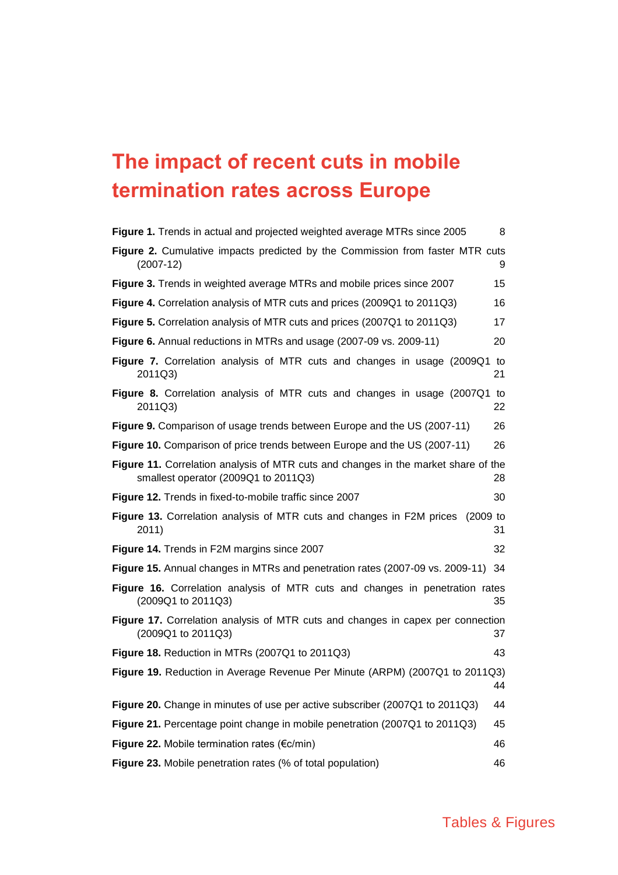# **The impact of recent cuts in mobile termination rates across Europe**

| Figure 1. Trends in actual and projected weighted average MTRs since 2005                                                  | 8        |
|----------------------------------------------------------------------------------------------------------------------------|----------|
| <b>Figure 2.</b> Cumulative impacts predicted by the Commission from faster MTR cuts<br>$(2007-12)$                        | 9        |
| Figure 3. Trends in weighted average MTRs and mobile prices since 2007                                                     | 15       |
| <b>Figure 4.</b> Correlation analysis of MTR cuts and prices (2009Q1 to 2011Q3)                                            | 16       |
| Figure 5. Correlation analysis of MTR cuts and prices (2007Q1 to 2011Q3)                                                   | 17       |
| <b>Figure 6.</b> Annual reductions in MTRs and usage (2007-09 vs. 2009-11)                                                 | 20       |
| Figure 7. Correlation analysis of MTR cuts and changes in usage (2009Q1 to<br>2011Q3)                                      | 21       |
| Figure 8. Correlation analysis of MTR cuts and changes in usage (2007Q1)<br>2011Q3)                                        | to<br>22 |
| <b>Figure 9.</b> Comparison of usage trends between Europe and the US (2007-11)                                            | 26       |
| <b>Figure 10.</b> Comparison of price trends between Europe and the US (2007-11)                                           | 26       |
| Figure 11. Correlation analysis of MTR cuts and changes in the market share of the<br>smallest operator (2009Q1 to 2011Q3) | 28       |
| Figure 12. Trends in fixed-to-mobile traffic since 2007                                                                    | 30       |
| Figure 13. Correlation analysis of MTR cuts and changes in F2M prices<br>$(2009)$ to<br>2011)<br>31                        |          |
| Figure 14. Trends in F2M margins since 2007                                                                                | 32       |
| <b>Figure 15.</b> Annual changes in MTRs and penetration rates (2007-09 vs. 2009-11)<br>-34                                |          |
| <b>Figure 16.</b> Correlation analysis of MTR cuts and changes in penetration rates<br>(2009Q1 to 2011Q3)                  | 35       |
| <b>Figure 17.</b> Correlation analysis of MTR cuts and changes in capex per connection<br>(2009Q1 to 2011Q3)               | 37       |
| <b>Figure 18. Reduction in MTRs (2007Q1 to 2011Q3)</b>                                                                     | 43       |
| Figure 19. Reduction in Average Revenue Per Minute (ARPM) (2007Q1 to 2011Q3)                                               | 44       |
| Figure 20. Change in minutes of use per active subscriber (2007Q1 to 2011Q3)                                               | 44       |
| Figure 21. Percentage point change in mobile penetration (2007Q1 to 2011Q3)                                                | 45       |
| Figure 22. Mobile termination rates ( $\epsilon$ c/min)                                                                    | 46       |
| Figure 23. Mobile penetration rates (% of total population)                                                                | 46       |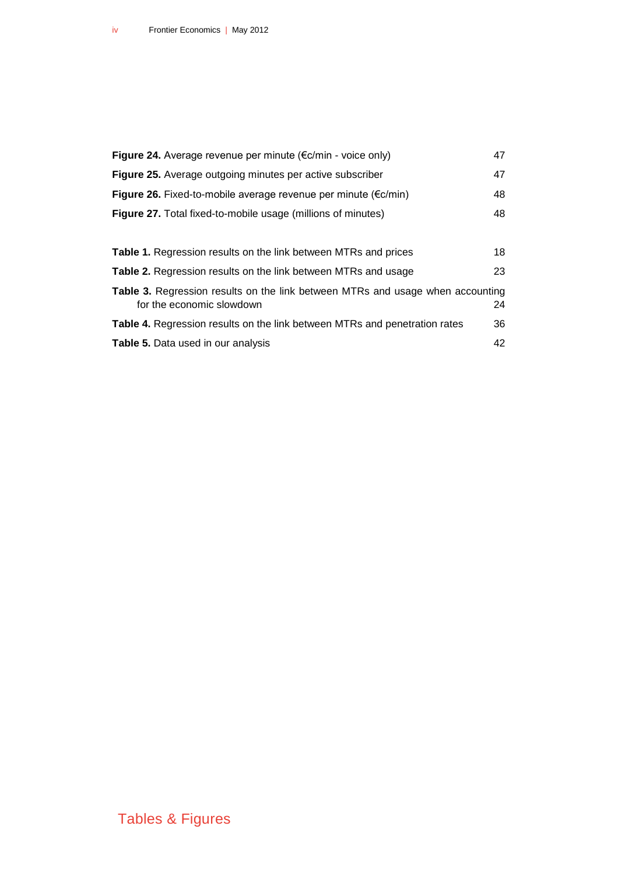| Figure 24. Average revenue per minute ( $\epsilon$ c/min - voice only)                                      | 47 |
|-------------------------------------------------------------------------------------------------------------|----|
| <b>Figure 25.</b> Average outgoing minutes per active subscriber                                            | 47 |
| Figure 26. Fixed-to-mobile average revenue per minute ( $\epsilon$ c/min)                                   | 48 |
| <b>Figure 27.</b> Total fixed-to-mobile usage (millions of minutes)                                         | 48 |
|                                                                                                             |    |
| <b>Table 1.</b> Regression results on the link between MTRs and prices                                      | 18 |
| Table 2. Regression results on the link between MTRs and usage                                              | 23 |
| Table 3. Regression results on the link between MTRs and usage when accounting<br>for the economic slowdown | 24 |
| <b>Table 4.</b> Regression results on the link between MTRs and penetration rates                           | 36 |
| Table 5. Data used in our analysis                                                                          | 42 |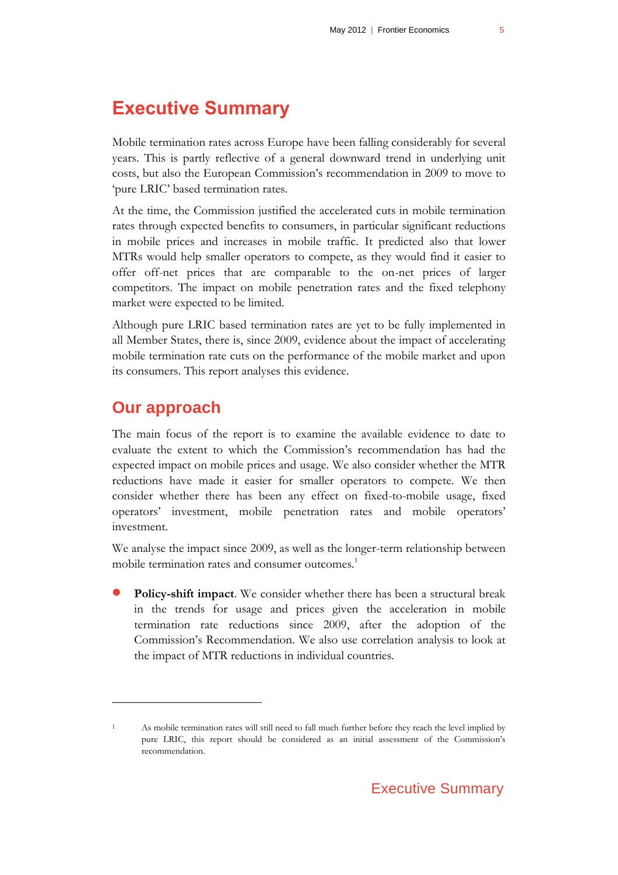# <span id="page-4-0"></span>**Executive Summary**

Mobile termination rates across Europe have been falling considerably for several years. This is partly reflective of a general downward trend in underlying unit costs, but also the European Commission's recommendation in 2009 to move to 'pure LRIC' based termination rates.

At the time, the Commission justified the accelerated cuts in mobile termination rates through expected benefits to consumers, in particular significant reductions in mobile prices and increases in mobile traffic. It predicted also that lower MTRs would help smaller operators to compete, as they would find it easier to offer off-net prices that are comparable to the on-net prices of larger competitors. The impact on mobile penetration rates and the fixed telephony market were expected to be limited.

Although pure LRIC based termination rates are yet to be fully implemented in all Member States, there is, since 2009, evidence about the impact of accelerating mobile termination rate cuts on the performance of the mobile market and upon its consumers. This report analyses this evidence.

#### **Our approach**

 $\overline{a}$ 

The main focus of the report is to examine the available evidence to date to evaluate the extent to which the Commission's recommendation has had the expected impact on mobile prices and usage. We also consider whether the MTR reductions have made it easier for smaller operators to compete. We then consider whether there has been any effect on fixed-to-mobile usage, fixed operators' investment, mobile penetration rates and mobile operators' investment.

We analyse the impact since 2009, as well as the longer-term relationship between mobile termination rates and consumer outcomes.<sup>1</sup>

 **Policy-shift impact**. We consider whether there has been a structural break in the trends for usage and prices given the acceleration in mobile termination rate reductions since 2009, after the adoption of the Commission's Recommendation. We also use correlation analysis to look at the impact of MTR reductions in individual countries.

<sup>1</sup> As mobile termination rates will still need to fall much further before they reach the level implied by pure LRIC, this report should be considered as an initial assessment of the Commission's recommendation.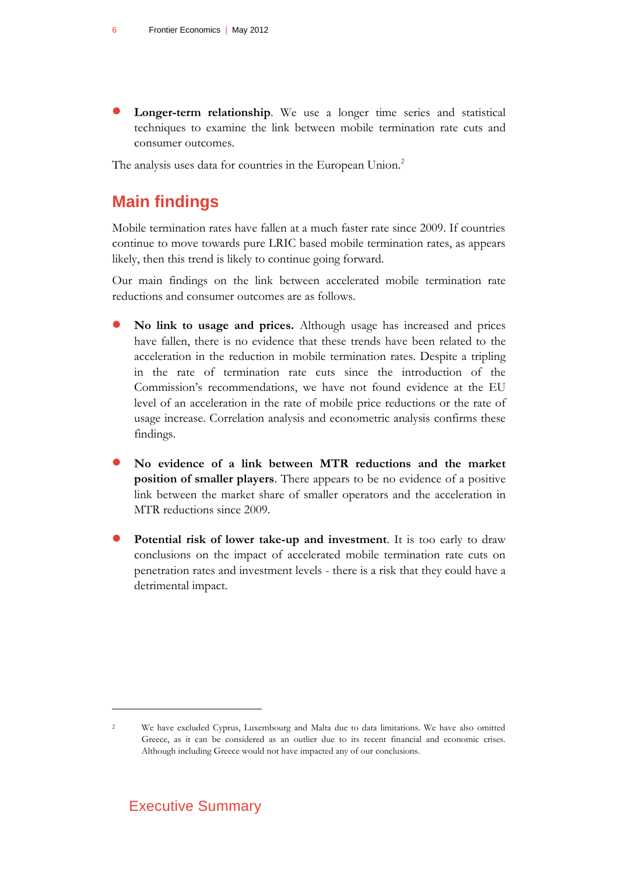**Longer-term relationship**. We use a longer time series and statistical techniques to examine the link between mobile termination rate cuts and consumer outcomes.

The analysis uses data for countries in the European Union.<sup>2</sup>

# **Main findings**

Mobile termination rates have fallen at a much faster rate since 2009. If countries continue to move towards pure LRIC based mobile termination rates, as appears likely, then this trend is likely to continue going forward.

Our main findings on the link between accelerated mobile termination rate reductions and consumer outcomes are as follows.

- **No link to usage and prices.** Although usage has increased and prices have fallen, there is no evidence that these trends have been related to the acceleration in the reduction in mobile termination rates. Despite a tripling in the rate of termination rate cuts since the introduction of the Commission's recommendations, we have not found evidence at the EU level of an acceleration in the rate of mobile price reductions or the rate of usage increase. Correlation analysis and econometric analysis confirms these findings.
- **No evidence of a link between MTR reductions and the market position of smaller players**. There appears to be no evidence of a positive link between the market share of smaller operators and the acceleration in MTR reductions since 2009.
- **Potential risk of lower take-up and investment**. It is too early to draw conclusions on the impact of accelerated mobile termination rate cuts on penetration rates and investment levels - there is a risk that they could have a detrimental impact.

<sup>2</sup> We have excluded Cyprus, Luxembourg and Malta due to data limitations. We have also omitted Greece, as it can be considered as an outlier due to its recent financial and economic crises. Although including Greece would not have impacted any of our conclusions.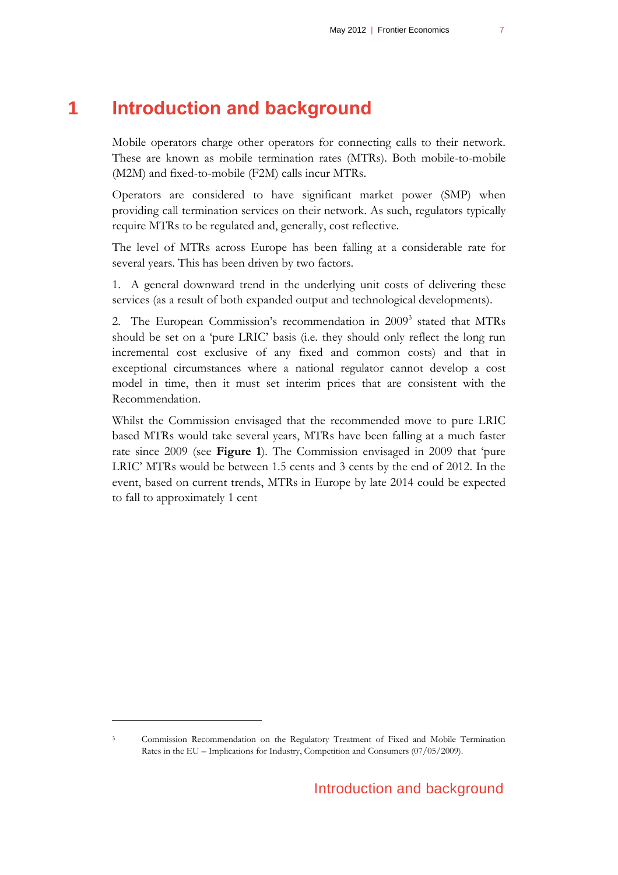# **1 Introduction and background**

<span id="page-6-0"></span>Mobile operators charge other operators for connecting calls to their network. These are known as mobile termination rates (MTRs). Both mobile-to-mobile (M2M) and fixed-to-mobile (F2M) calls incur MTRs.

Operators are considered to have significant market power (SMP) when providing call termination services on their network. As such, regulators typically require MTRs to be regulated and, generally, cost reflective.

The level of MTRs across Europe has been falling at a considerable rate for several years. This has been driven by two factors.

1. A general downward trend in the underlying unit costs of delivering these services (as a result of both expanded output and technological developments).

2. The European Commission's recommendation in 2009<sup>3</sup> stated that MTRs should be set on a 'pure LRIC' basis (i.e. they should only reflect the long run incremental cost exclusive of any fixed and common costs) and that in exceptional circumstances where a national regulator cannot develop a cost model in time, then it must set interim prices that are consistent with the Recommendation.

Whilst the Commission envisaged that the recommended move to pure LRIC based MTRs would take several years, MTRs have been falling at a much faster rate since 2009 (see **[Figure 1](#page-7-0)**). The Commission envisaged in 2009 that 'pure LRIC' MTRs would be between 1.5 cents and 3 cents by the end of 2012. In the event, based on current trends, MTRs in Europe by late 2014 could be expected to fall to approximately 1 cent

<sup>3</sup> Commission Recommendation on the Regulatory Treatment of Fixed and Mobile Termination Rates in the EU – Implications for Industry, Competition and Consumers (07/05/2009).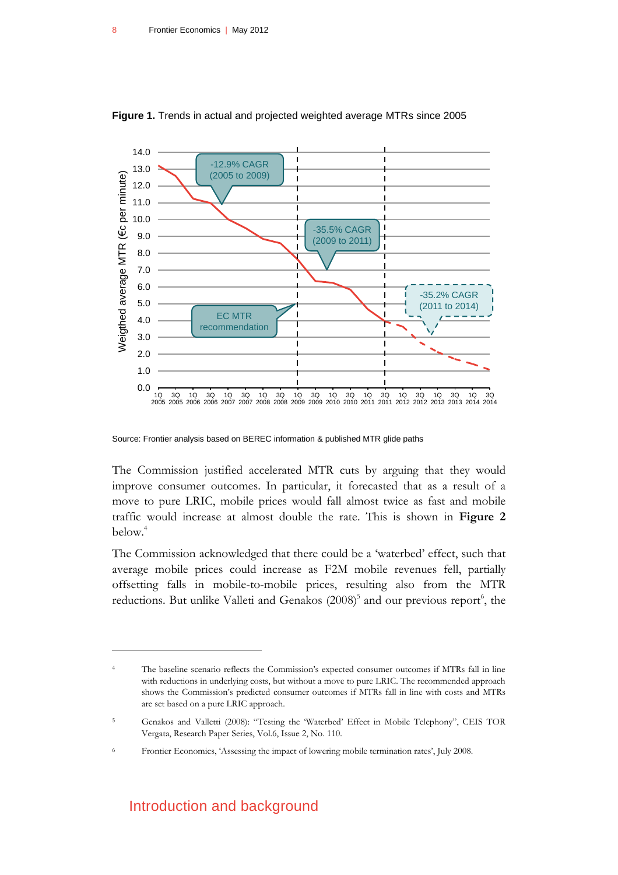

<span id="page-7-0"></span>**Figure 1.** Trends in actual and projected weighted average MTRs since 2005

Source: Frontier analysis based on BEREC information & published MTR glide paths

The Commission justified accelerated MTR cuts by arguing that they would improve consumer outcomes. In particular, it forecasted that as a result of a move to pure LRIC, mobile prices would fall almost twice as fast and mobile traffic would increase at almost double the rate. This is shown in **[Figure 2](#page-8-0)** below. 4

The Commission acknowledged that there could be a 'waterbed' effect, such that average mobile prices could increase as F2M mobile revenues fell, partially offsetting falls in mobile-to-mobile prices, resulting also from the MTR reductions. But unlike Valleti and Genakos (2008)<sup>5</sup> and our previous report<sup>6</sup>, the

#### Introduction and background

<sup>4</sup> The baseline scenario reflects the Commission's expected consumer outcomes if MTRs fall in line with reductions in underlying costs, but without a move to pure LRIC. The recommended approach shows the Commission's predicted consumer outcomes if MTRs fall in line with costs and MTRs are set based on a pure LRIC approach.

<sup>5</sup> Genakos and Valletti (2008): "Testing the 'Waterbed' Effect in Mobile Telephony", CEIS TOR Vergata, Research Paper Series, Vol.6, Issue 2, No. 110.

<sup>6</sup> Frontier Economics, 'Assessing the impact of lowering mobile termination rates', July 2008.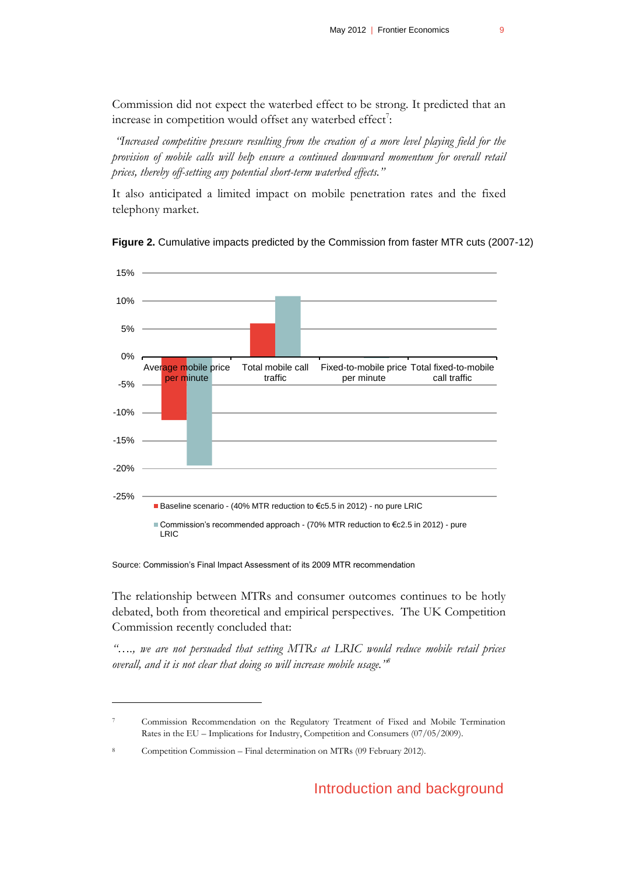Commission did not expect the waterbed effect to be strong. It predicted that an increase in competition would offset any waterbed effect<sup>7</sup>:

*"Increased competitive pressure resulting from the creation of a more level playing field for the provision of mobile calls will help ensure a continued downward momentum for overall retail prices, thereby off-setting any potential short-term waterbed effects."* 

It also anticipated a limited impact on mobile penetration rates and the fixed telephony market.



<span id="page-8-0"></span>**Figure 2.** Cumulative impacts predicted by the Commission from faster MTR cuts (2007-12)

Source: Commission's Final Impact Assessment of its 2009 MTR recommendation

The relationship between MTRs and consumer outcomes continues to be hotly debated, both from theoretical and empirical perspectives. The UK Competition Commission recently concluded that:

*"…., we are not persuaded that setting MTRs at LRIC would reduce mobile retail prices overall, and it is not clear that doing so will increase mobile usage."<sup>8</sup>*

<sup>7</sup> Commission Recommendation on the Regulatory Treatment of Fixed and Mobile Termination Rates in the EU – Implications for Industry, Competition and Consumers (07/05/2009).

Competition Commission – Final determination on MTRs (09 February 2012).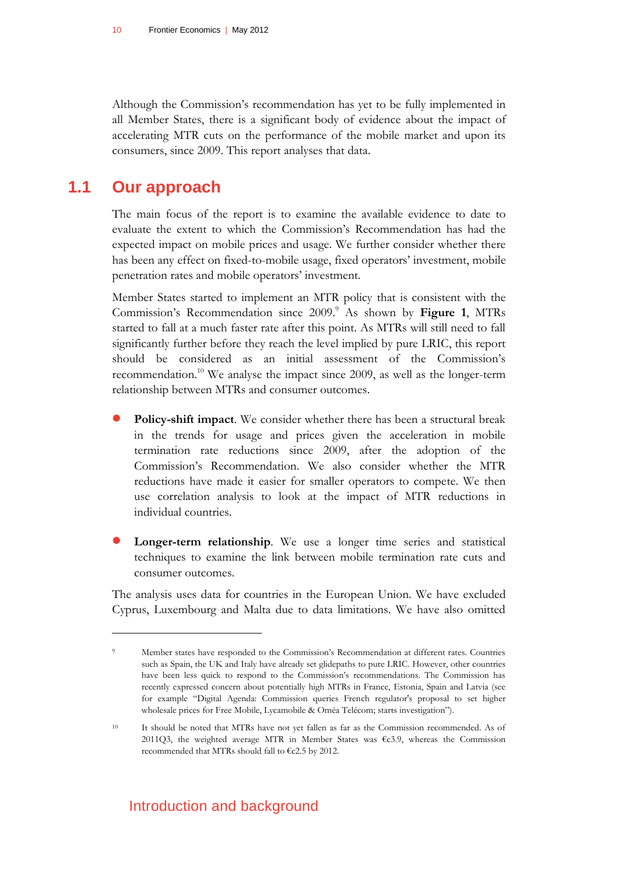Although the Commission's recommendation has yet to be fully implemented in all Member States, there is a significant body of evidence about the impact of accelerating MTR cuts on the performance of the mobile market and upon its consumers, since 2009. This report analyses that data.

### **1.1 Our approach**

 $\overline{a}$ 

<span id="page-9-0"></span>The main focus of the report is to examine the available evidence to date to evaluate the extent to which the Commission's Recommendation has had the expected impact on mobile prices and usage. We further consider whether there has been any effect on fixed-to-mobile usage, fixed operators' investment, mobile penetration rates and mobile operators' investment.

Member States started to implement an MTR policy that is consistent with the Commission's Recommendation since 2009.<sup>9</sup> As shown by [Figure 1](#page-7-0), MTRs started to fall at a much faster rate after this point. As MTRs will still need to fall significantly further before they reach the level implied by pure LRIC, this report should be considered as an initial assessment of the Commission's recommendation.<sup>10</sup> We analyse the impact since 2009, as well as the longer-term relationship between MTRs and consumer outcomes.

- **Policy-shift impact**. We consider whether there has been a structural break in the trends for usage and prices given the acceleration in mobile termination rate reductions since 2009, after the adoption of the Commission's Recommendation. We also consider whether the MTR reductions have made it easier for smaller operators to compete. We then use correlation analysis to look at the impact of MTR reductions in individual countries.
- **Longer-term relationship**. We use a longer time series and statistical techniques to examine the link between mobile termination rate cuts and consumer outcomes.

The analysis uses data for countries in the European Union. We have excluded Cyprus, Luxembourg and Malta due to data limitations. We have also omitted

<sup>9</sup> Member states have responded to the Commission's Recommendation at different rates. Countries such as Spain, the UK and Italy have already set glidepaths to pure LRIC. However, other countries have been less quick to respond to the Commission's recommendations. The Commission has recently expressed concern about potentially high MTRs in France, Estonia, Spain and Latvia (see for example "Digital Agenda: Commission queries French regulator's proposal to set higher wholesale prices for Free Mobile, Lycamobile & Oméa Telécom; starts investigation").

<sup>10</sup> It should be noted that MTRs have not yet fallen as far as the Commission recommended. As of 2011Q3, the weighted average MTR in Member States was  $\epsilon$ c3.9, whereas the Commission recommended that MTRs should fall to €c2.5 by 2012.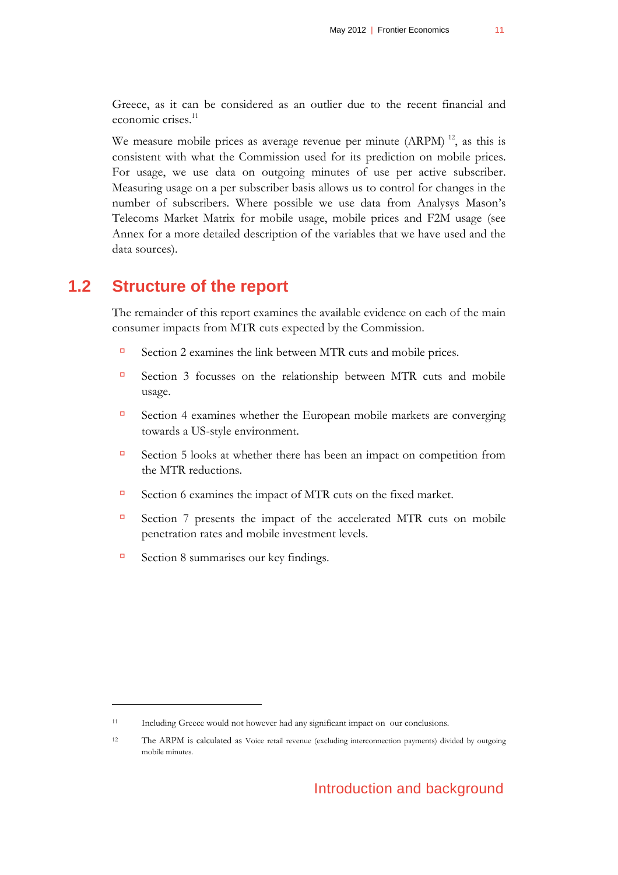Greece, as it can be considered as an outlier due to the recent financial and economic crises.<sup>11</sup>

We measure mobile prices as average revenue per minute  $(ARPM)^{12}$ , as this is consistent with what the Commission used for its prediction on mobile prices. For usage, we use data on outgoing minutes of use per active subscriber. Measuring usage on a per subscriber basis allows us to control for changes in the number of subscribers. Where possible we use data from Analysys Mason's Telecoms Market Matrix for mobile usage, mobile prices and F2M usage (see Annex for a more detailed description of the variables that we have used and the data sources).

#### **1.2 Structure of the report**

<span id="page-10-0"></span>The remainder of this report examines the available evidence on each of the main consumer impacts from MTR cuts expected by the Commission.

- Section [2](#page-12-0) examines the link between MTR cuts and mobile prices.
- Section [3](#page-18-0) focusses on the relationship between MTR cuts and mobile usage.
- Section [4](#page-24-0) examines whether the European mobile markets are converging towards a US-style environment.
- Section [5](#page-26-0) looks at whether there has been an impact on competition from the MTR reductions.
- Section [6](#page-28-0) examines the impact of MTR cuts on the fixed market.
- Section [7](#page-32-0) presents the impact of the accelerated MTR cuts on mobile penetration rates and mobile investment levels.
- $\Box$  Section [8](#page-38-0) summarises our key findings.

<sup>11</sup> Including Greece would not however had any significant impact on our conclusions.

<sup>12</sup> The ARPM is calculated as Voice retail revenue (excluding interconnection payments) divided by outgoing mobile minutes.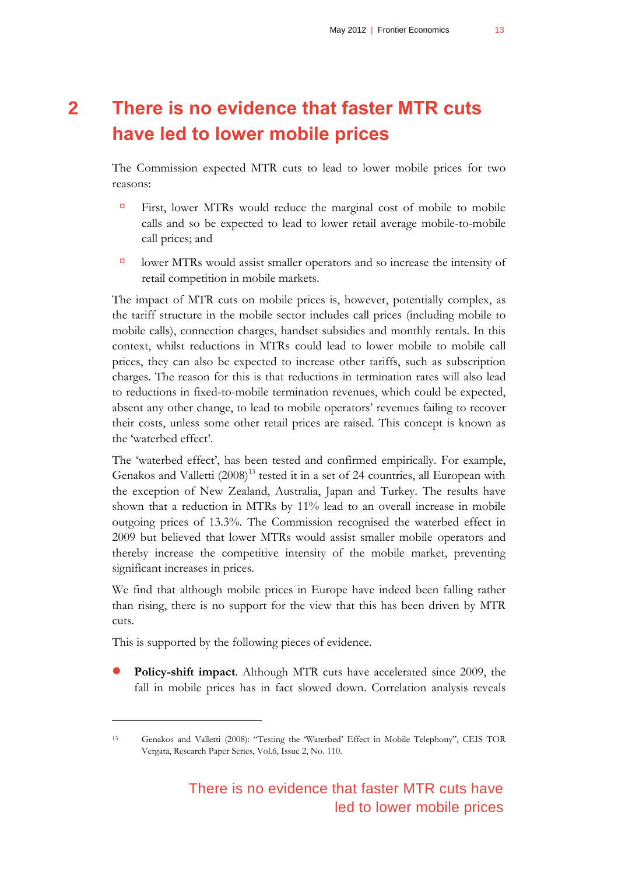# <span id="page-12-0"></span>**2 There is no evidence that faster MTR cuts have led to lower mobile prices**

The Commission expected MTR cuts to lead to lower mobile prices for two reasons:

- First, lower MTRs would reduce the marginal cost of mobile to mobile calls and so be expected to lead to lower retail average mobile-to-mobile call prices; and
- $\Box$  lower MTRs would assist smaller operators and so increase the intensity of retail competition in mobile markets.

The impact of MTR cuts on mobile prices is, however, potentially complex, as the tariff structure in the mobile sector includes call prices (including mobile to mobile calls), connection charges, handset subsidies and monthly rentals. In this context, whilst reductions in MTRs could lead to lower mobile to mobile call prices, they can also be expected to increase other tariffs, such as subscription charges. The reason for this is that reductions in termination rates will also lead to reductions in fixed-to-mobile termination revenues, which could be expected, absent any other change, to lead to mobile operators' revenues failing to recover their costs, unless some other retail prices are raised. This concept is known as the 'waterbed effect'.

The 'waterbed effect', has been tested and confirmed empirically. For example, Genakos and Valletti  $(2008)^{13}$  tested it in a set of 24 countries, all European with the exception of New Zealand, Australia, Japan and Turkey. The results have shown that a reduction in MTRs by 11% lead to an overall increase in mobile outgoing prices of 13.3%. The Commission recognised the waterbed effect in 2009 but believed that lower MTRs would assist smaller mobile operators and thereby increase the competitive intensity of the mobile market, preventing significant increases in prices.

We find that although mobile prices in Europe have indeed been falling rather than rising, there is no support for the view that this has been driven by MTR cuts.

This is supported by the following pieces of evidence.

 $\overline{a}$ 

 **Policy-shift impact**. Although MTR cuts have accelerated since 2009, the fall in mobile prices has in fact slowed down. Correlation analysis reveals

<sup>13</sup> Genakos and Valletti (2008): "Testing the 'Waterbed' Effect in Mobile Telephony", CEIS TOR Vergata, Research Paper Series, Vol.6, Issue 2, No. 110.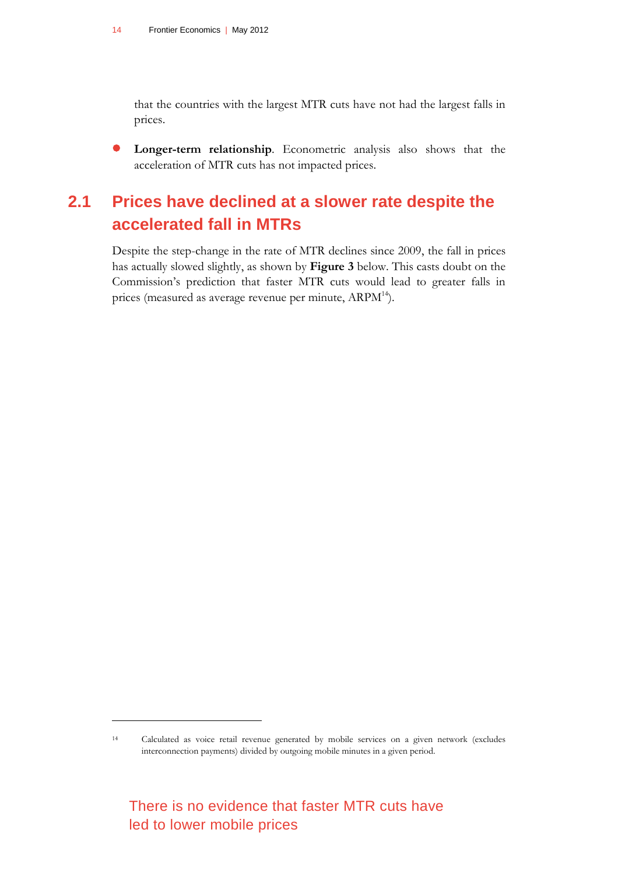that the countries with the largest MTR cuts have not had the largest falls in prices.

<span id="page-13-0"></span> **Longer-term relationship**. Econometric analysis also shows that the acceleration of MTR cuts has not impacted prices.

# **2.1 Prices have declined at a slower rate despite the accelerated fall in MTRs**

Despite the step-change in the rate of MTR declines since 2009, the fall in prices has actually slowed slightly, as shown by **[Figure 3](#page-14-0)** below. This casts doubt on the Commission's prediction that faster MTR cuts would lead to greater falls in prices (measured as average revenue per minute, ARPM<sup>14</sup>).

<sup>14</sup> Calculated as voice retail revenue generated by mobile services on a given network (excludes interconnection payments) divided by outgoing mobile minutes in a given period.

There is no evidence that faster MTR cuts have led to lower mobile prices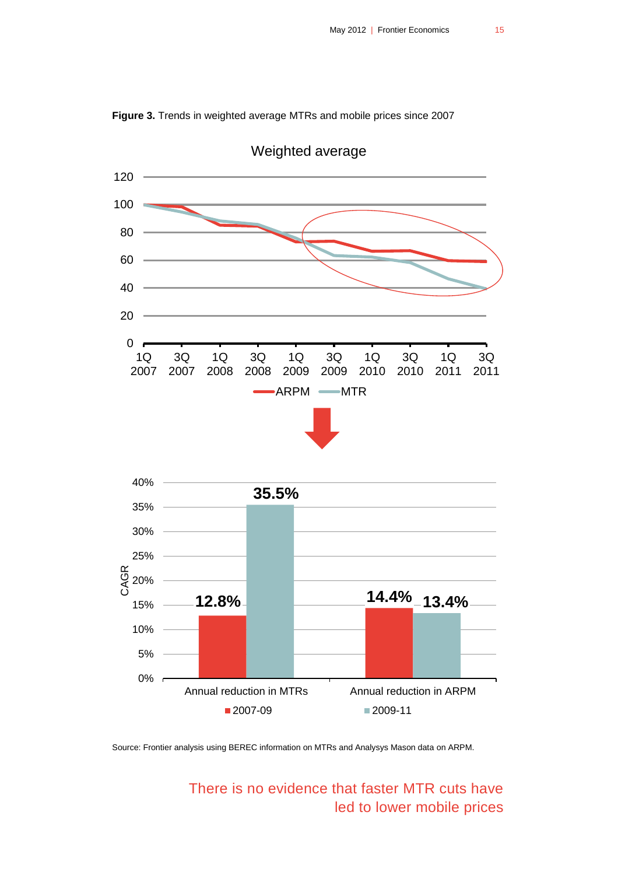

<span id="page-14-0"></span>**Figure 3.** Trends in weighted average MTRs and mobile prices since 2007

Source: Frontier analysis using BEREC information on MTRs and Analysys Mason data on ARPM.

There is no evidence that faster MTR cuts have led to lower mobile prices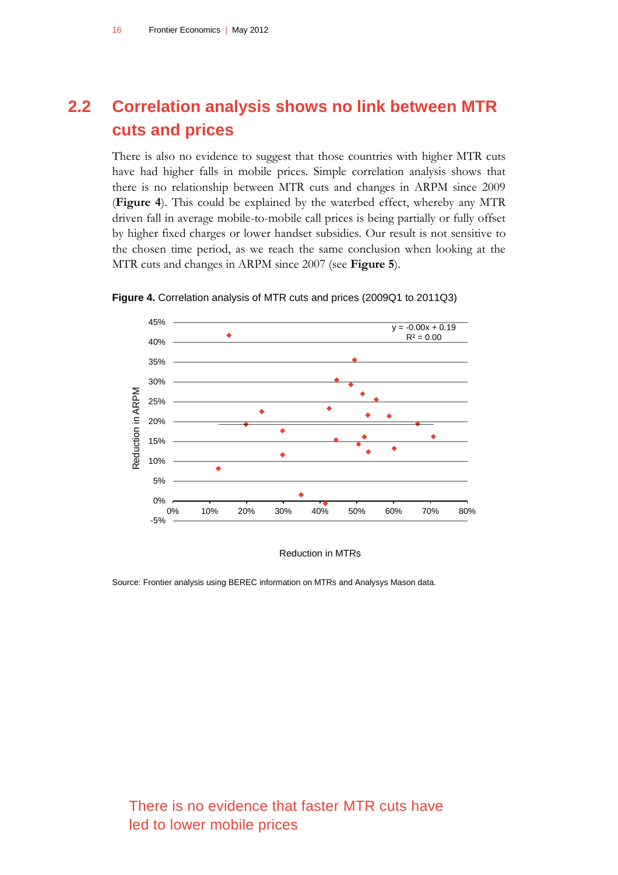# <span id="page-15-0"></span>**2.2 Correlation analysis shows no link between MTR cuts and prices**

There is also no evidence to suggest that those countries with higher MTR cuts have had higher falls in mobile prices. Simple correlation analysis shows that there is no relationship between MTR cuts and changes in ARPM since 2009 (**Figure 4**). This could be explained by the waterbed effect, whereby any MTR driven fall in average mobile-to-mobile call prices is being partially or fully offset by higher fixed charges or lower handset subsidies. Our result is not sensitive to the chosen time period, as we reach the same conclusion when looking at the MTR cuts and changes in ARPM since 2007 (see **Figure 5**).



<span id="page-15-1"></span>**Figure 4.** Correlation analysis of MTR cuts and prices (2009Q1 to 2011Q3)

Reduction in MTRs

Source: Frontier analysis using BEREC information on MTRs and Analysys Mason data.

There is no evidence that faster MTR cuts have led to lower mobile prices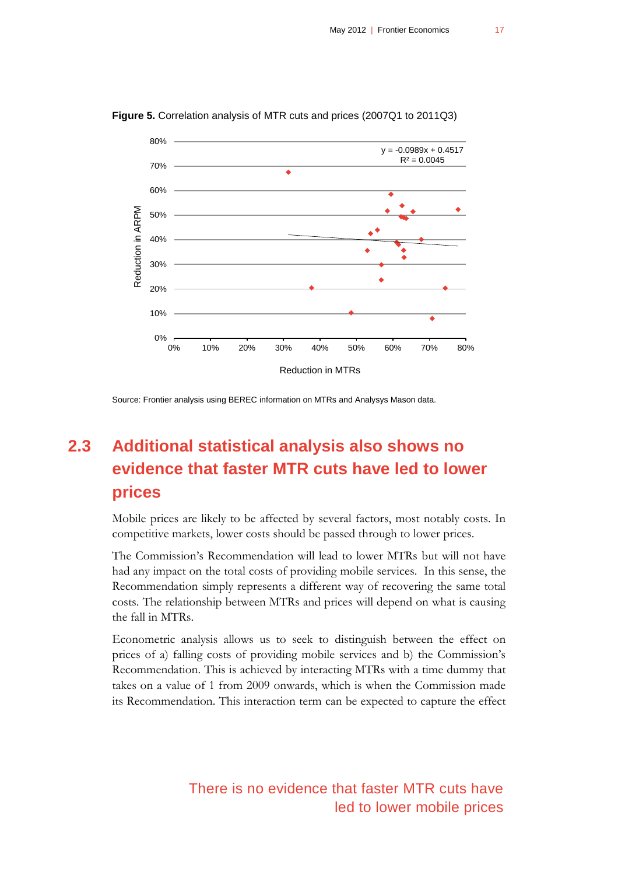

<span id="page-16-1"></span>**Figure 5.** Correlation analysis of MTR cuts and prices (2007Q1 to 2011Q3)

<span id="page-16-0"></span>Source: Frontier analysis using BEREC information on MTRs and Analysys Mason data.

# **2.3 Additional statistical analysis also shows no evidence that faster MTR cuts have led to lower prices**

Mobile prices are likely to be affected by several factors, most notably costs. In competitive markets, lower costs should be passed through to lower prices.

The Commission's Recommendation will lead to lower MTRs but will not have had any impact on the total costs of providing mobile services. In this sense, the Recommendation simply represents a different way of recovering the same total costs. The relationship between MTRs and prices will depend on what is causing the fall in MTRs.

Econometric analysis allows us to seek to distinguish between the effect on prices of a) falling costs of providing mobile services and b) the Commission's Recommendation. This is achieved by interacting MTRs with a time dummy that takes on a value of 1 from 2009 onwards, which is when the Commission made its Recommendation. This interaction term can be expected to capture the effect

> There is no evidence that faster MTR cuts have led to lower mobile prices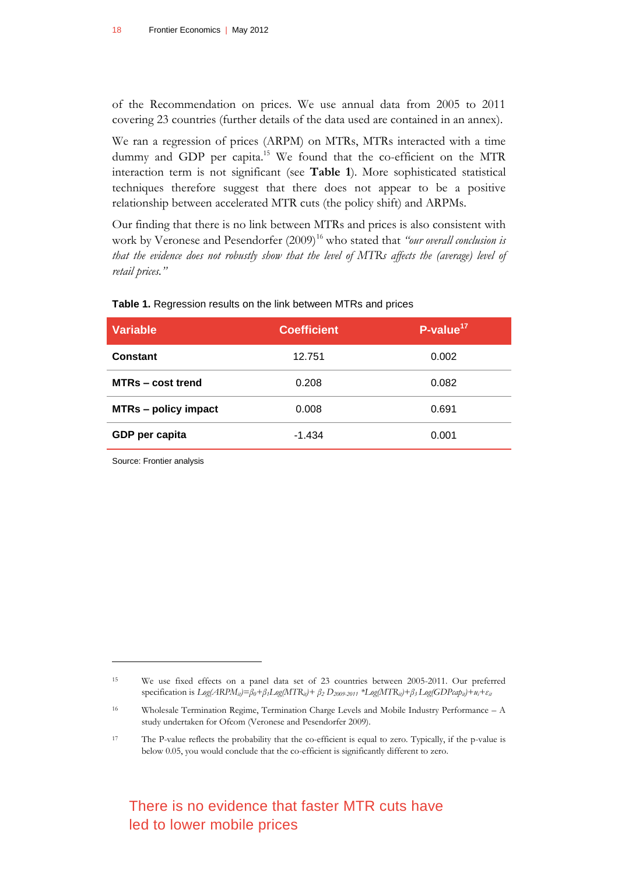of the Recommendation on prices. We use annual data from 2005 to 2011 covering 23 countries (further details of the data used are contained in an annex).

We ran a regression of prices (ARPM) on MTRs, MTRs interacted with a time dummy and GDP per capita.<sup>15</sup> We found that the co-efficient on the MTR interaction term is not significant (see **[Table 1](#page-17-0)**). More sophisticated statistical techniques therefore suggest that there does not appear to be a positive relationship between accelerated MTR cuts (the policy shift) and ARPMs.

Our finding that there is no link between MTRs and prices is also consistent with work by Veronese and Pesendorfer (2009)<sup>16</sup> who stated that *"our overall conclusion is that the evidence does not robustly show that the level of MTRs affects the (average) level of retail prices."*

| <b>Variable</b>             | <b>Coefficient</b> | $P-value17$ |
|-----------------------------|--------------------|-------------|
| <b>Constant</b>             | 12.751             | 0.002       |
| MTRs – cost trend           | 0.208              | 0.082       |
| <b>MTRs - policy impact</b> | 0.008              | 0.691       |
| GDP per capita              | $-1.434$           | 0.001       |

#### <span id="page-17-0"></span>**Table 1.** Regression results on the link between MTRs and prices

Source: Frontier analysis

 $\overline{a}$ 

### There is no evidence that faster MTR cuts have led to lower mobile prices

<sup>15</sup> We use fixed effects on a panel data set of 23 countries between 2005-2011. Our preferred specification is  $Log(ARPM_{ii}) = \beta_0 + \beta_1 Log(MTR_{ii}) + \beta_2 D_{2009-2011} * Log(MTR_{ii}) + \beta_3 Log(GDPcap_{ii}) + u_i + \varepsilon_{ii}$ 

<sup>16</sup> Wholesale Termination Regime, Termination Charge Levels and Mobile Industry Performance – A study undertaken for Ofcom (Veronese and Pesendorfer 2009).

<sup>17</sup> The P-value reflects the probability that the co-efficient is equal to zero. Typically, if the p-value is below 0.05, you would conclude that the co-efficient is significantly different to zero.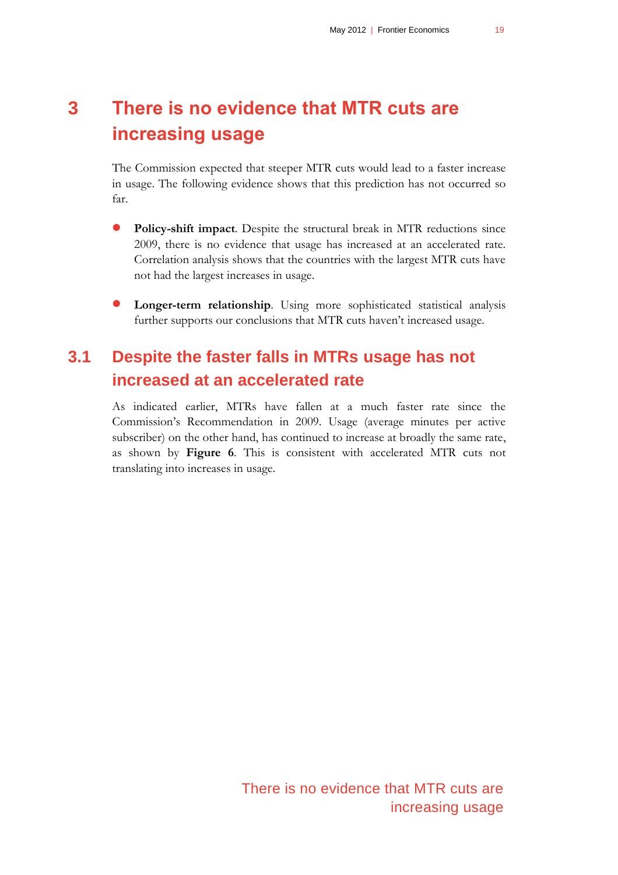# <span id="page-18-0"></span>**3 There is no evidence that MTR cuts are increasing usage**

The Commission expected that steeper MTR cuts would lead to a faster increase in usage. The following evidence shows that this prediction has not occurred so far.

- **Policy-shift impact**. Despite the structural break in MTR reductions since 2009, there is no evidence that usage has increased at an accelerated rate. Correlation analysis shows that the countries with the largest MTR cuts have not had the largest increases in usage.
- <span id="page-18-1"></span> **Longer-term relationship**. Using more sophisticated statistical analysis further supports our conclusions that MTR cuts haven't increased usage.

# **3.1 Despite the faster falls in MTRs usage has not increased at an accelerated rate**

As indicated earlier, MTRs have fallen at a much faster rate since the Commission's Recommendation in 2009. Usage (average minutes per active subscriber) on the other hand, has continued to increase at broadly the same rate, as shown by **[Figure 6](#page-19-1)**. This is consistent with accelerated MTR cuts not translating into increases in usage.

> There is no evidence that MTR cuts are increasing usage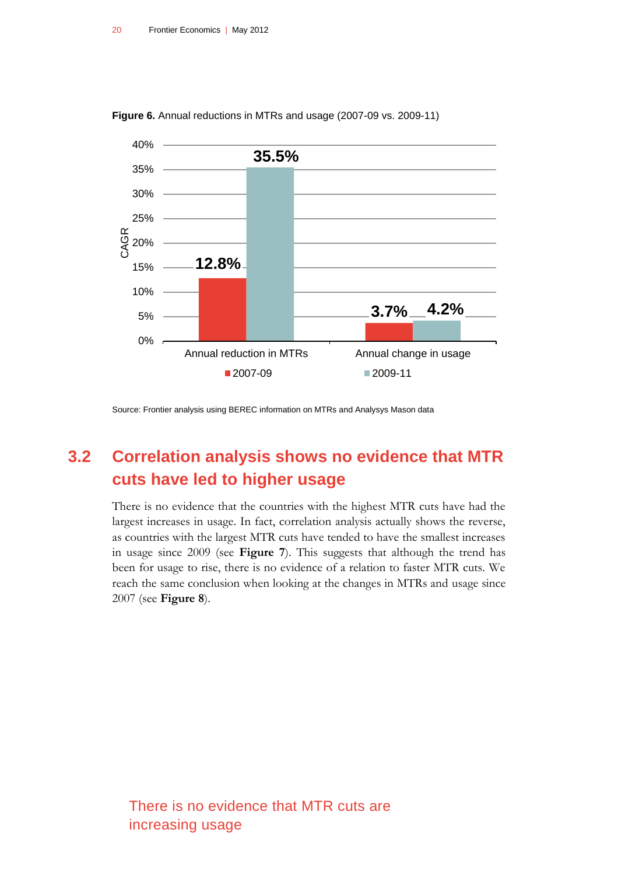

<span id="page-19-1"></span>**Figure 6.** Annual reductions in MTRs and usage (2007-09 vs. 2009-11)

<span id="page-19-0"></span>Source: Frontier analysis using BEREC information on MTRs and Analysys Mason data

# **3.2 Correlation analysis shows no evidence that MTR cuts have led to higher usage**

There is no evidence that the countries with the highest MTR cuts have had the largest increases in usage. In fact, correlation analysis actually shows the reverse, as countries with the largest MTR cuts have tended to have the smallest increases in usage since 2009 (see **[Figure 7](#page-20-0)**). This suggests that although the trend has been for usage to rise, there is no evidence of a relation to faster MTR cuts. We reach the same conclusion when looking at the changes in MTRs and usage since 2007 (see **Figure 8**).

There is no evidence that MTR cuts are increasing usage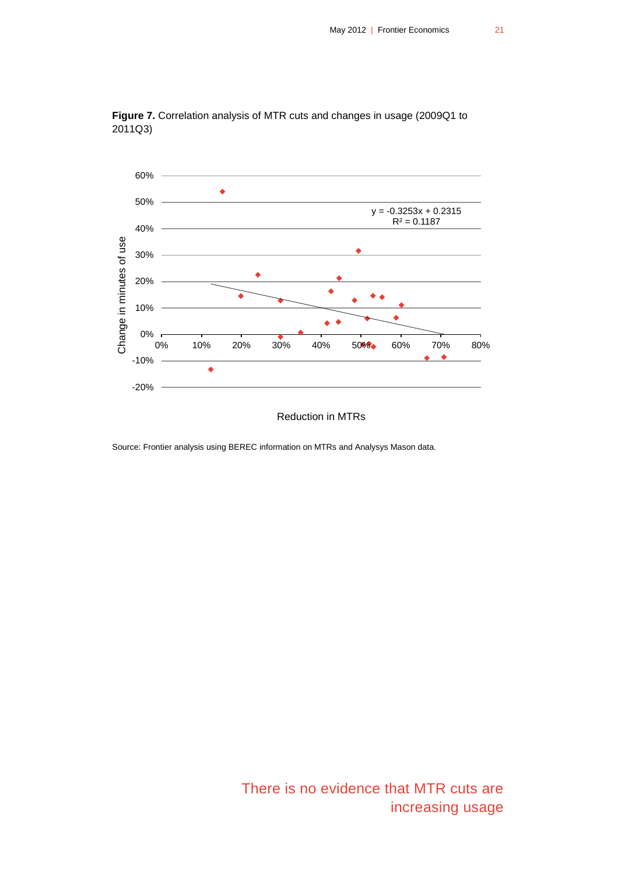

<span id="page-20-0"></span>**Figure 7.** Correlation analysis of MTR cuts and changes in usage (2009Q1 to 2011Q3)

Reduction in MTRs

Source: Frontier analysis using BEREC information on MTRs and Analysys Mason data.

There is no evidence that MTR cuts are increasing usage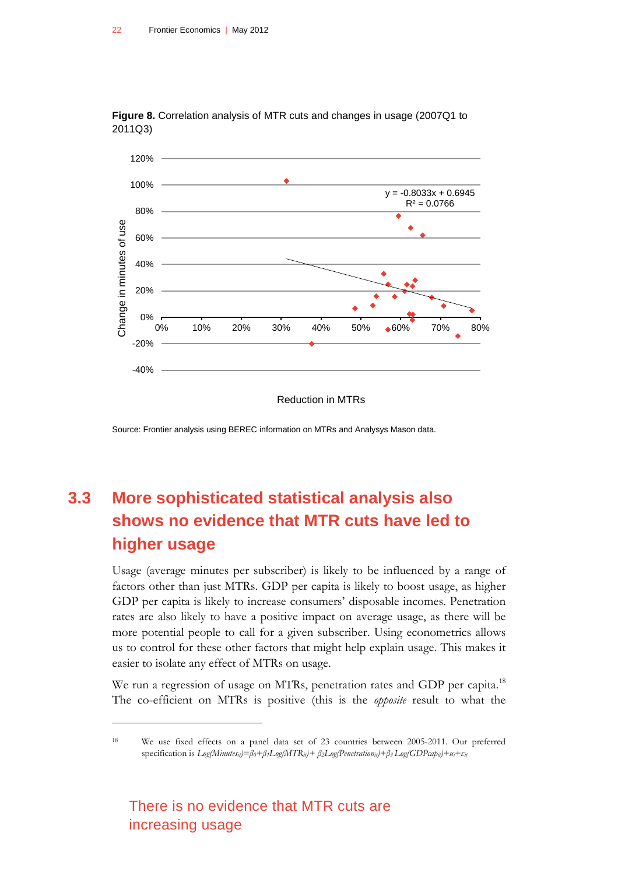

<span id="page-21-1"></span>**Figure 8.** Correlation analysis of MTR cuts and changes in usage (2007Q1 to 2011Q3)

Reduction in MTRs

Source: Frontier analysis using BEREC information on MTRs and Analysys Mason data.

# <span id="page-21-0"></span>**3.3 More sophisticated statistical analysis also shows no evidence that MTR cuts have led to higher usage**

Usage (average minutes per subscriber) is likely to be influenced by a range of factors other than just MTRs. GDP per capita is likely to boost usage, as higher GDP per capita is likely to increase consumers' disposable incomes. Penetration rates are also likely to have a positive impact on average usage, as there will be more potential people to call for a given subscriber. Using econometrics allows us to control for these other factors that might help explain usage. This makes it easier to isolate any effect of MTRs on usage.

We run a regression of usage on MTRs, penetration rates and GDP per capita.<sup>18</sup> The co-efficient on MTRs is positive (this is the *opposite* result to what the

There is no evidence that MTR cuts are increasing usage

<sup>18</sup> We use fixed effects on a panel data set of 23 countries between 2005-2011. Our preferred specification is  $Log(Minutes_{il}) = \beta_0 + \beta_1 Log(MTR_{il}) + \beta_2 Log(Penstration_{il}) + \beta_3 Log(GDPcap_{il}) + u_i + \varepsilon_{il}$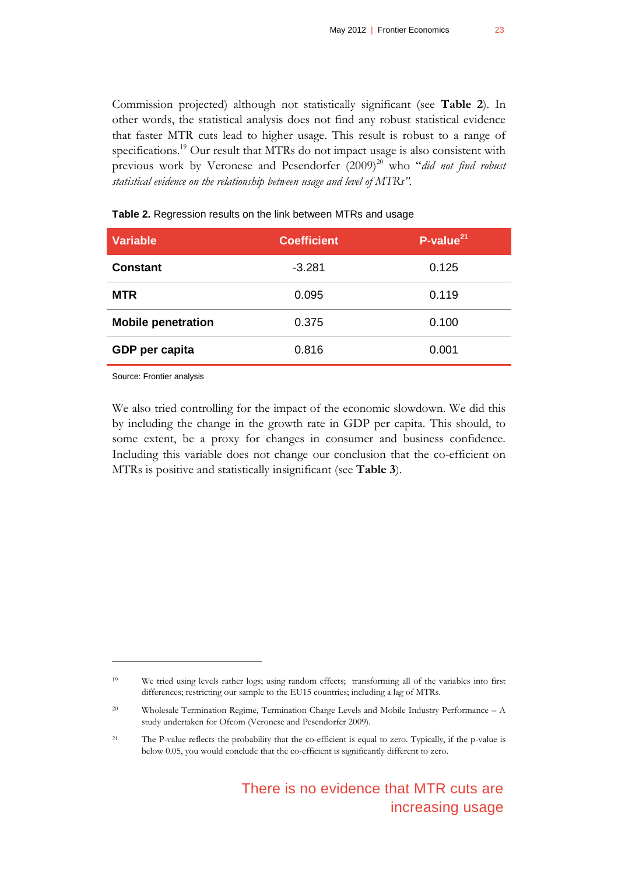Commission projected) although not statistically significant (see **[Table 2](#page-22-0)**). In other words, the statistical analysis does not find any robust statistical evidence that faster MTR cuts lead to higher usage. This result is robust to a range of specifications.<sup>19</sup> Our result that MTRs do not impact usage is also consistent with previous work by Veronese and Pesendorfer (2009)<sup>20</sup> who "*did not find robust statistical evidence on the relationship between usage and level of MTRs".*

| $-3.281$<br>0.125<br><b>Constant</b>        |  |
|---------------------------------------------|--|
| <b>MTR</b><br>0.095<br>0.119                |  |
| <b>Mobile penetration</b><br>0.100<br>0.375 |  |
| 0.816<br>GDP per capita<br>0.001            |  |

#### <span id="page-22-0"></span>**Table 2.** Regression results on the link between MTRs and usage

Source: Frontier analysis

 $\overline{a}$ 

We also tried controlling for the impact of the economic slowdown. We did this by including the change in the growth rate in GDP per capita. This should, to some extent, be a proxy for changes in consumer and business confidence. Including this variable does not change our conclusion that the co-efficient on MTRs is positive and statistically insignificant (see **[Table 3](#page-23-0)**).

<sup>19</sup> We tried using levels rather logs; using random effects; transforming all of the variables into first differences; restricting our sample to the EU15 countries; including a lag of MTRs.

<sup>20</sup> Wholesale Termination Regime, Termination Charge Levels and Mobile Industry Performance – A study undertaken for Ofcom (Veronese and Pesendorfer 2009).

<sup>21</sup> The P-value reflects the probability that the co-efficient is equal to zero. Typically, if the p-value is below 0.05, you would conclude that the co-efficient is significantly different to zero.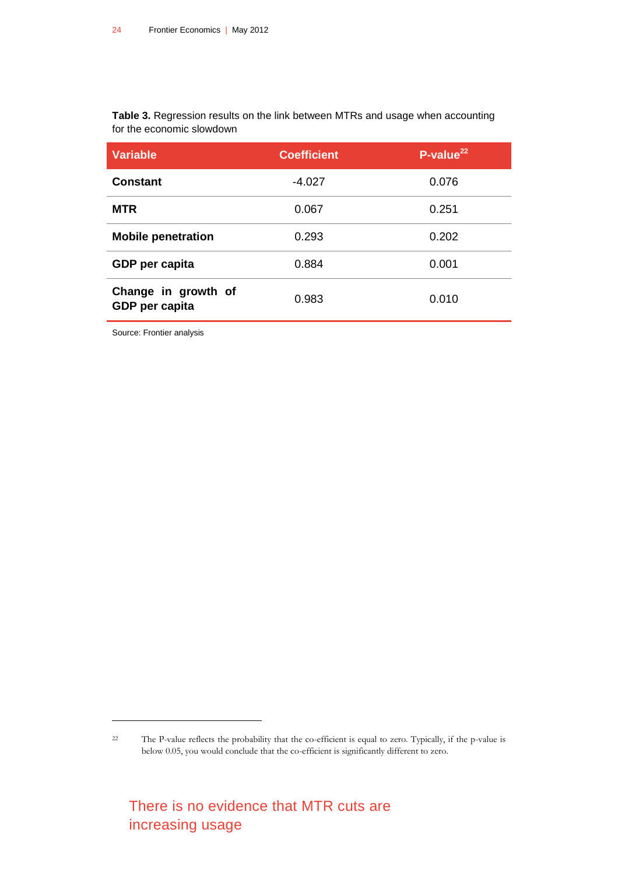<span id="page-23-0"></span>**Table 3.** Regression results on the link between MTRs and usage when accounting for the economic slowdown

| <b>Variable</b>                       | <b>Coefficient</b> | $P$ -value <sup>221</sup> |
|---------------------------------------|--------------------|---------------------------|
| <b>Constant</b>                       | $-4.027$           | 0.076                     |
| <b>MTR</b>                            | 0.067              | 0.251                     |
| <b>Mobile penetration</b>             | 0.293              | 0.202                     |
| GDP per capita                        | 0.884              | 0.001                     |
| Change in growth of<br>GDP per capita | 0.983              | 0.010                     |

Source: Frontier analysis

<sup>22</sup> The P-value reflects the probability that the co-efficient is equal to zero. Typically, if the p-value is below 0.05, you would conclude that the co-efficient is significantly different to zero.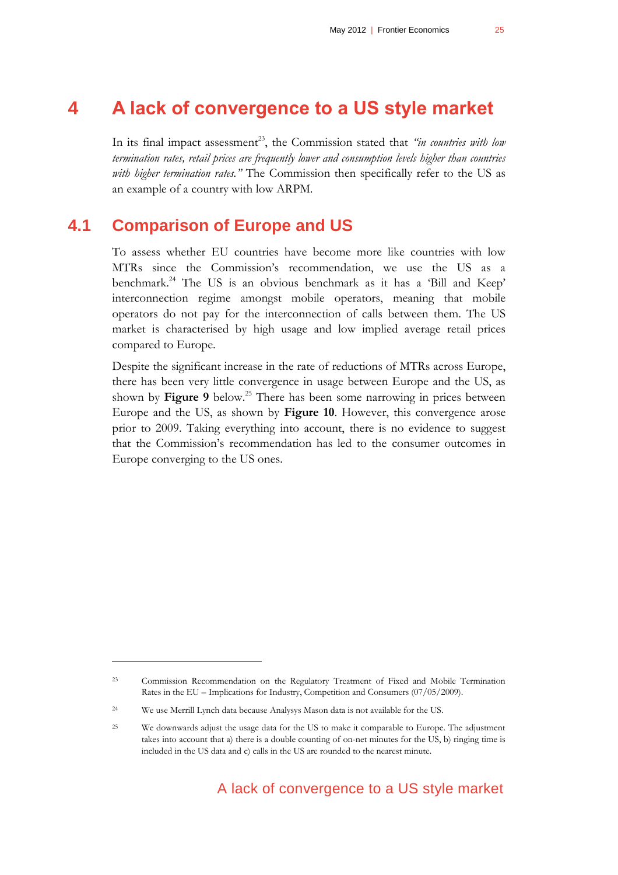# **4 A lack of convergence to a US style market**

<span id="page-24-0"></span>In its final impact assessment<sup>23</sup>, the Commission stated that *"in countries with low termination rates, retail prices are frequently lower and consumption levels higher than countries with higher termination rates."* The Commission then specifically refer to the US as an example of a country with low ARPM.

#### **4.1 Comparison of Europe and US**

<span id="page-24-1"></span>To assess whether EU countries have become more like countries with low MTRs since the Commission's recommendation, we use the US as a benchmark.<sup>24</sup> The US is an obvious benchmark as it has a 'Bill and Keep' interconnection regime amongst mobile operators, meaning that mobile operators do not pay for the interconnection of calls between them. The US market is characterised by high usage and low implied average retail prices compared to Europe.

Despite the significant increase in the rate of reductions of MTRs across Europe, there has been very little convergence in usage between Europe and the US, as shown by **[Figure 9](#page-25-0)** below.<sup>25</sup> There has been some narrowing in prices between Europe and the US, as shown by **[Figure 10](#page-25-1)**. However, this convergence arose prior to 2009. Taking everything into account, there is no evidence to suggest that the Commission's recommendation has led to the consumer outcomes in Europe converging to the US ones.

<sup>23</sup> Commission Recommendation on the Regulatory Treatment of Fixed and Mobile Termination Rates in the EU – Implications for Industry, Competition and Consumers (07/05/2009).

<sup>24</sup> We use Merrill Lynch data because Analysys Mason data is not available for the US.

<sup>&</sup>lt;sup>25</sup> We downwards adjust the usage data for the US to make it comparable to Europe. The adjustment takes into account that a) there is a double counting of on-net minutes for the US, b) ringing time is included in the US data and c) calls in the US are rounded to the nearest minute.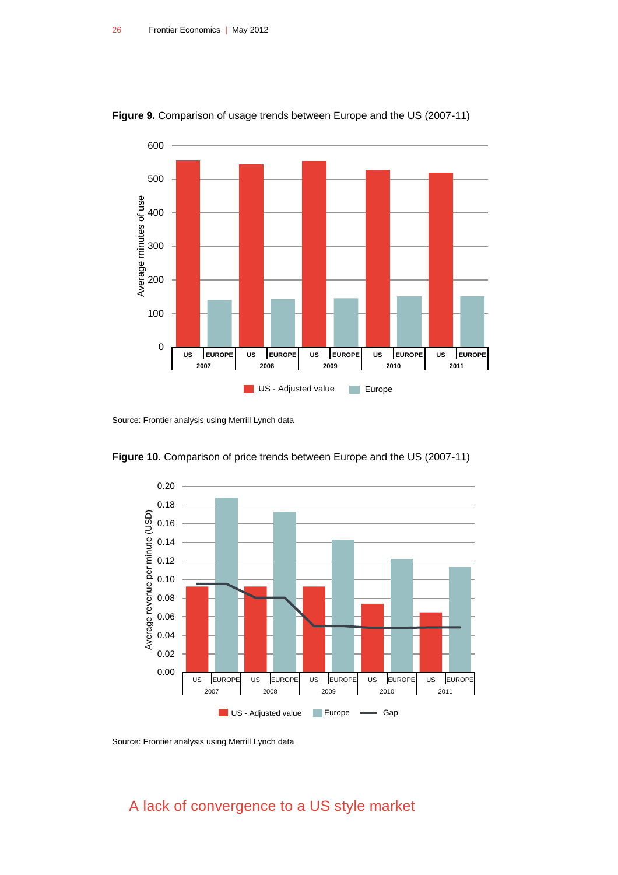

<span id="page-25-0"></span>**Figure 9.** Comparison of usage trends between Europe and the US (2007-11)

Source: Frontier analysis using Merrill Lynch data



<span id="page-25-1"></span>**Figure 10.** Comparison of price trends between Europe and the US (2007-11)

Source: Frontier analysis using Merrill Lynch data

A lack of convergence to a US style market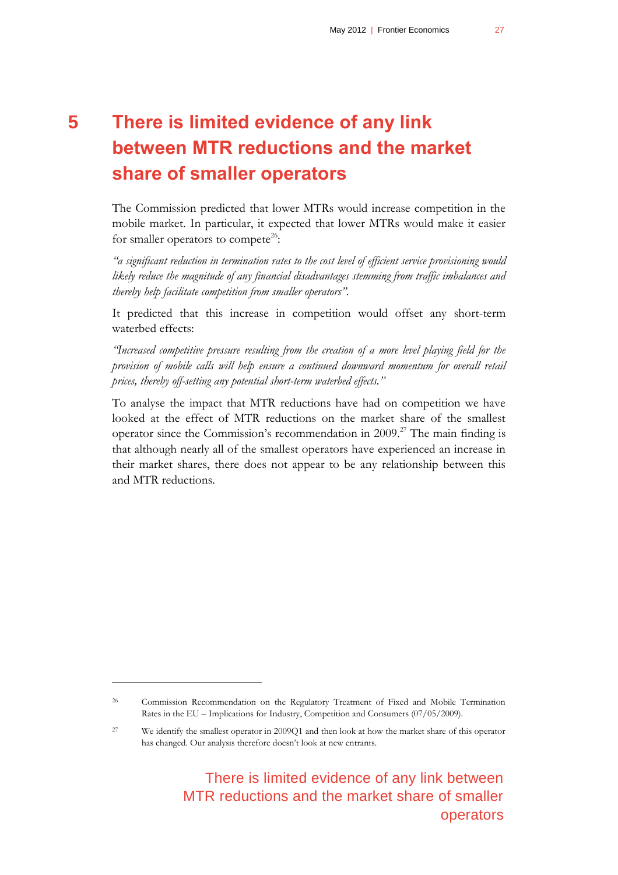# <span id="page-26-0"></span>**5 There is limited evidence of any link between MTR reductions and the market share of smaller operators**

The Commission predicted that lower MTRs would increase competition in the mobile market. In particular, it expected that lower MTRs would make it easier for smaller operators to compete<sup>26</sup>:

*"a significant reduction in termination rates to the cost level of efficient service provisioning would likely reduce the magnitude of any financial disadvantages stemming from traffic imbalances and thereby help facilitate competition from smaller operators".*

It predicted that this increase in competition would offset any short-term waterbed effects:

*"Increased competitive pressure resulting from the creation of a more level playing field for the provision of mobile calls will help ensure a continued downward momentum for overall retail prices, thereby off-setting any potential short-term waterbed effects."*

To analyse the impact that MTR reductions have had on competition we have looked at the effect of MTR reductions on the market share of the smallest operator since the Commission's recommendation in 2009.<sup>27</sup> The main finding is that although nearly all of the smallest operators have experienced an increase in their market shares, there does not appear to be any relationship between this and MTR reductions.

 $\overline{a}$ 

There is limited evidence of any link between MTR reductions and the market share of smaller operators

<sup>26</sup> Commission Recommendation on the Regulatory Treatment of Fixed and Mobile Termination Rates in the EU – Implications for Industry, Competition and Consumers (07/05/2009).

<sup>27</sup> We identify the smallest operator in 2009Q1 and then look at how the market share of this operator has changed. Our analysis therefore doesn't look at new entrants.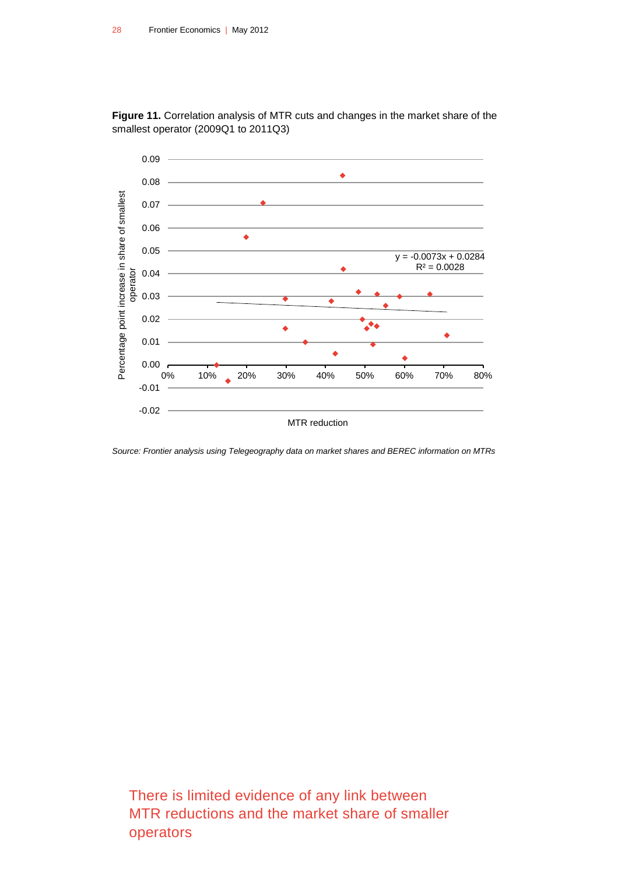

<span id="page-27-0"></span>**Figure 11.** Correlation analysis of MTR cuts and changes in the market share of the smallest operator (2009Q1 to 2011Q3)

*Source: Frontier analysis using Telegeography data on market shares and BEREC information on MTRs*

There is limited evidence of any link between MTR reductions and the market share of smaller operators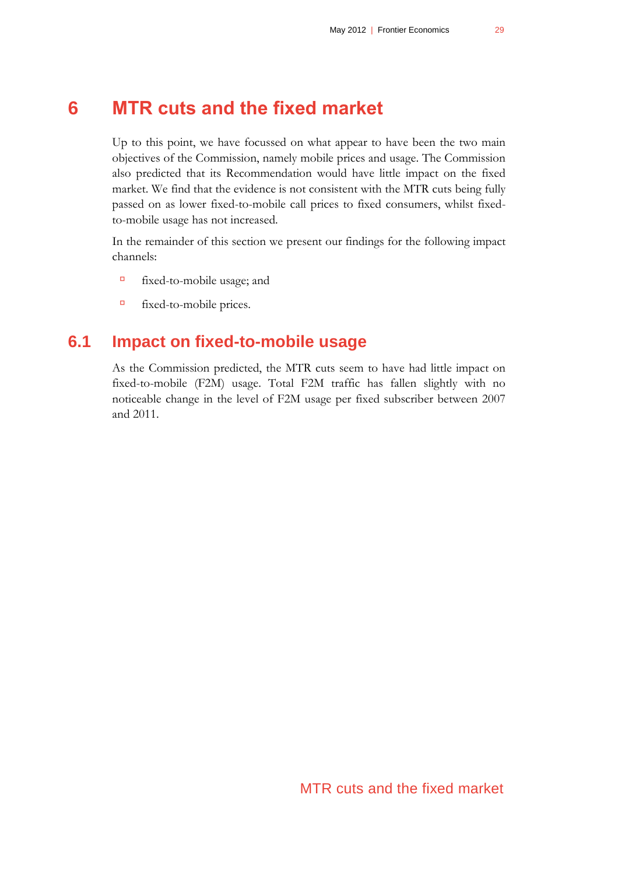# **6 MTR cuts and the fixed market**

<span id="page-28-0"></span>Up to this point, we have focussed on what appear to have been the two main objectives of the Commission, namely mobile prices and usage. The Commission also predicted that its Recommendation would have little impact on the fixed market. We find that the evidence is not consistent with the MTR cuts being fully passed on as lower fixed-to-mobile call prices to fixed consumers, whilst fixedto-mobile usage has not increased.

In the remainder of this section we present our findings for the following impact channels:

- fixed-to-mobile usage; and
- <span id="page-28-1"></span>fixed-to-mobile prices.

### **6.1 Impact on fixed-to-mobile usage**

As the Commission predicted, the MTR cuts seem to have had little impact on fixed-to-mobile (F2M) usage. Total F2M traffic has fallen slightly with no noticeable change in the level of F2M usage per fixed subscriber between 2007 and 2011.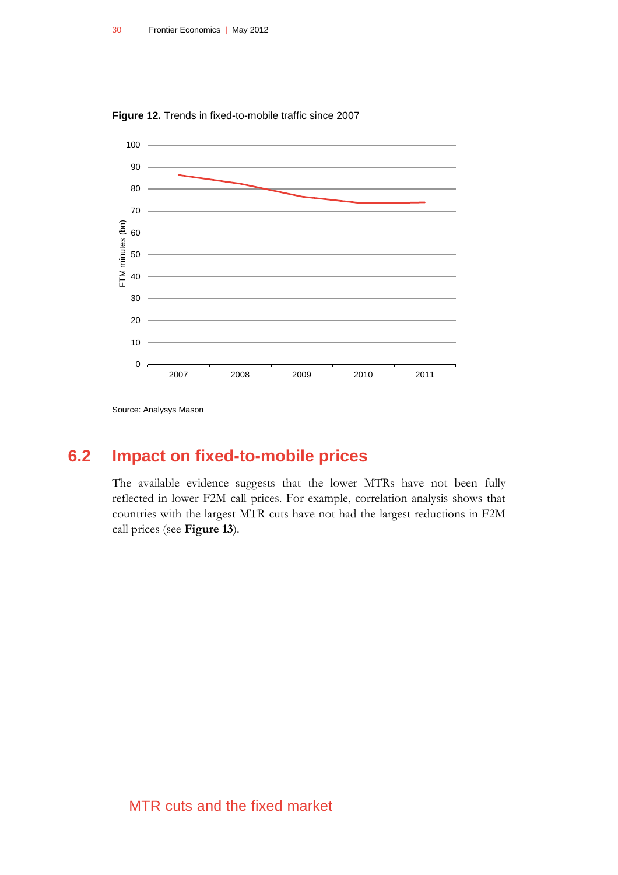<span id="page-29-1"></span>



<span id="page-29-0"></span>Source: Analysys Mason

## **6.2 Impact on fixed-to-mobile prices**

The available evidence suggests that the lower MTRs have not been fully reflected in lower F2M call prices. For example, correlation analysis shows that countries with the largest MTR cuts have not had the largest reductions in F2M call prices (see **[Figure 13](#page-30-0)**).

#### MTR cuts and the fixed market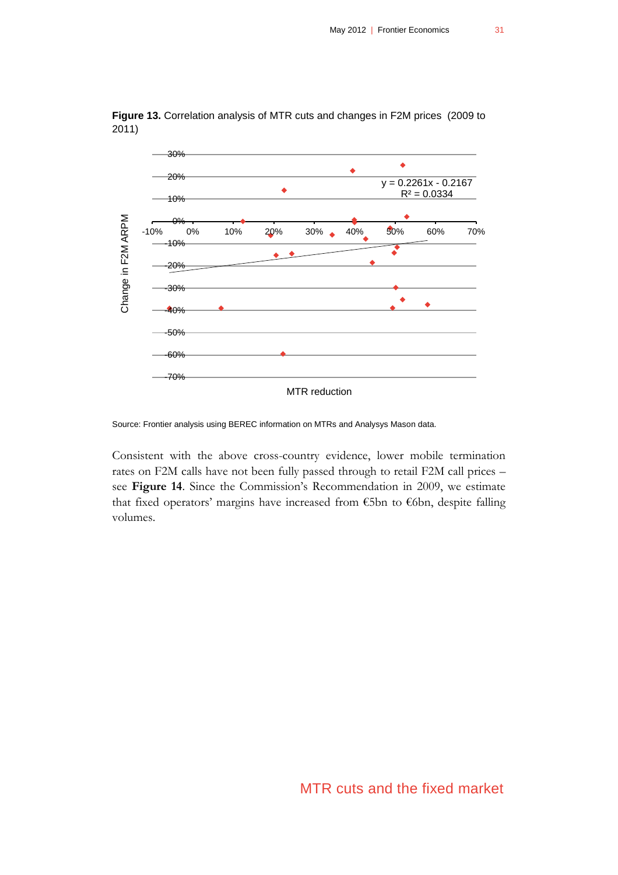

<span id="page-30-0"></span>**Figure 13.** Correlation analysis of MTR cuts and changes in F2M prices (2009 to 2011)

Source: Frontier analysis using BEREC information on MTRs and Analysys Mason data.

Consistent with the above cross-country evidence, lower mobile termination rates on F2M calls have not been fully passed through to retail F2M call prices – see **[Figure 14](#page-31-0)**. Since the Commission's Recommendation in 2009, we estimate that fixed operators' margins have increased from €5bn to €6bn, despite falling volumes.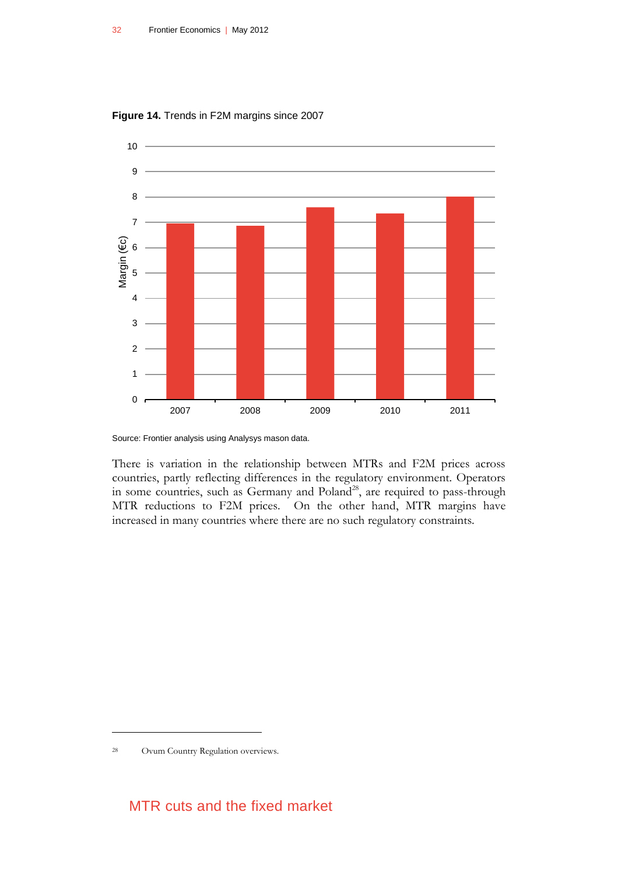

<span id="page-31-0"></span>**Figure 14.** Trends in F2M margins since 2007

Source: Frontier analysis using Analysys mason data.

There is variation in the relationship between MTRs and F2M prices across countries, partly reflecting differences in the regulatory environment. Operators in some countries, such as Germany and Poland<sup>28</sup>, are required to pass-through MTR reductions to F2M prices. On the other hand, MTR margins have increased in many countries where there are no such regulatory constraints.

 $\overline{a}$ 

#### MTR cuts and the fixed market

<sup>28</sup> Ovum Country Regulation overviews.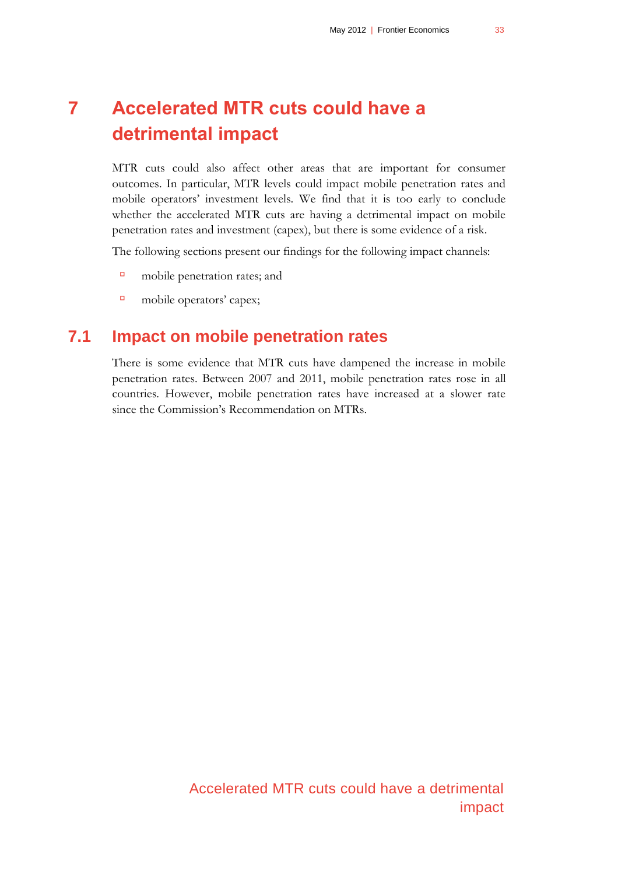# <span id="page-32-0"></span>**7 Accelerated MTR cuts could have a detrimental impact**

MTR cuts could also affect other areas that are important for consumer outcomes. In particular, MTR levels could impact mobile penetration rates and mobile operators' investment levels. We find that it is too early to conclude whether the accelerated MTR cuts are having a detrimental impact on mobile penetration rates and investment (capex), but there is some evidence of a risk.

The following sections present our findings for the following impact channels:

- mobile penetration rates; and
- <span id="page-32-1"></span>mobile operators' capex;

## **7.1 Impact on mobile penetration rates**

There is some evidence that MTR cuts have dampened the increase in mobile penetration rates. Between 2007 and 2011, mobile penetration rates rose in all countries. However, mobile penetration rates have increased at a slower rate since the Commission's Recommendation on MTRs.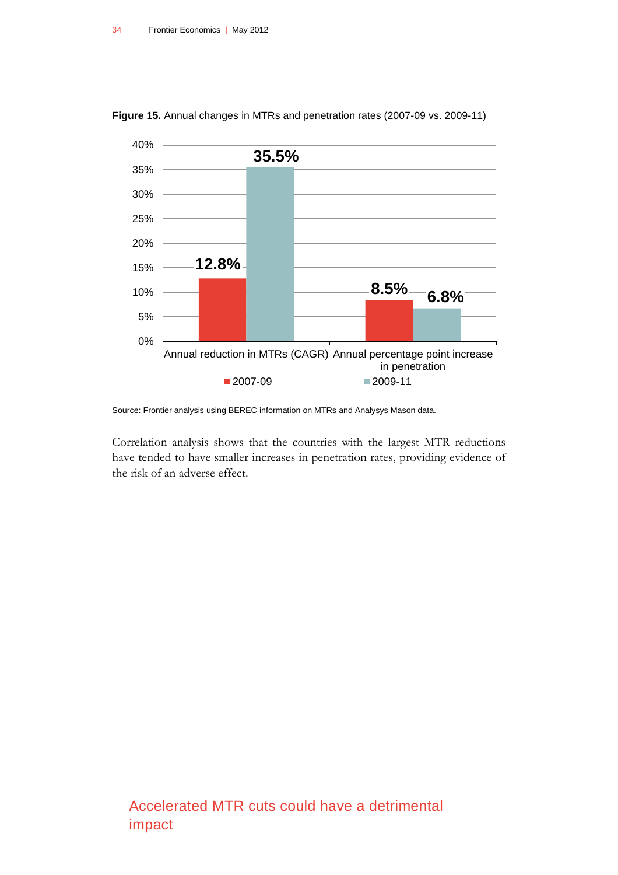

<span id="page-33-0"></span>**Figure 15.** Annual changes in MTRs and penetration rates (2007-09 vs. 2009-11)

Correlation analysis shows that the countries with the largest MTR reductions have tended to have smaller increases in penetration rates, providing evidence of the risk of an adverse effect.

Source: Frontier analysis using BEREC information on MTRs and Analysys Mason data.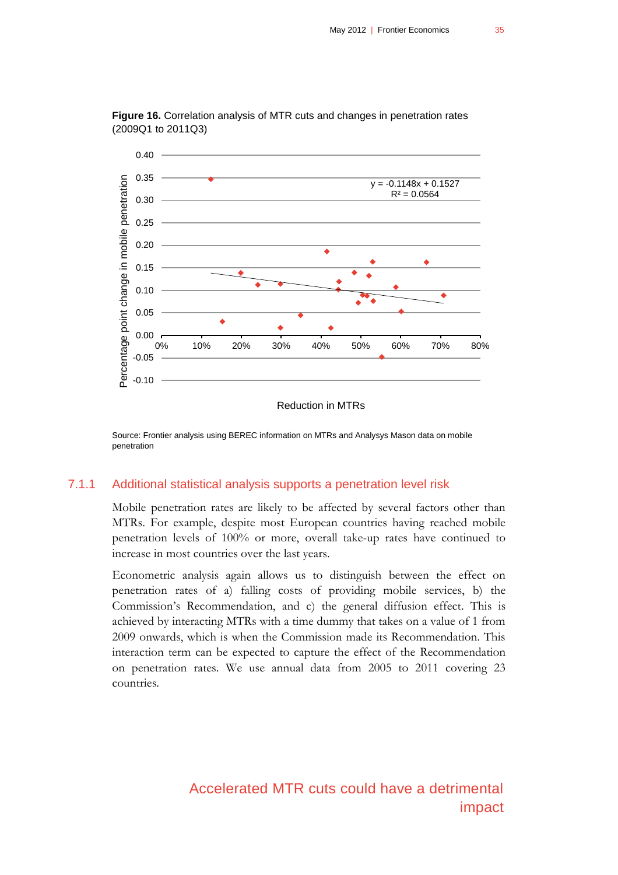

<span id="page-34-0"></span>**Figure 16.** Correlation analysis of MTR cuts and changes in penetration rates (2009Q1 to 2011Q3)

#### Reduction in MTRs

Source: Frontier analysis using BEREC information on MTRs and Analysys Mason data on mobile penetration

#### 7.1.1 Additional statistical analysis supports a penetration level risk

Mobile penetration rates are likely to be affected by several factors other than MTRs. For example, despite most European countries having reached mobile penetration levels of 100% or more, overall take-up rates have continued to increase in most countries over the last years.

Econometric analysis again allows us to distinguish between the effect on penetration rates of a) falling costs of providing mobile services, b) the Commission's Recommendation, and c) the general diffusion effect. This is achieved by interacting MTRs with a time dummy that takes on a value of 1 from 2009 onwards, which is when the Commission made its Recommendation. This interaction term can be expected to capture the effect of the Recommendation on penetration rates. We use annual data from 2005 to 2011 covering 23 countries.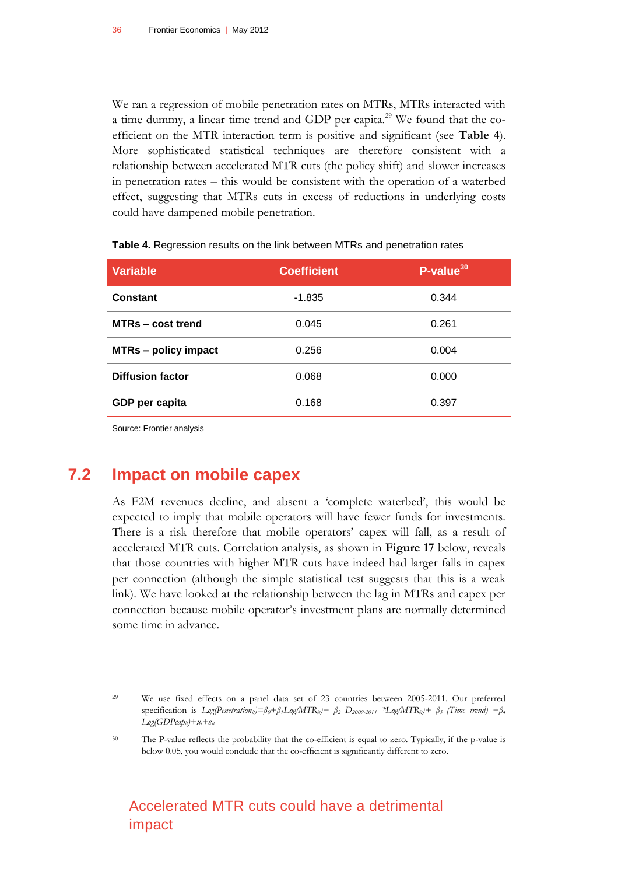We ran a regression of mobile penetration rates on MTRs, MTRs interacted with a time dummy, a linear time trend and GDP per capita.<sup>29</sup> We found that the coefficient on the MTR interaction term is positive and significant (see **[Table 4](#page-35-1)**). More sophisticated statistical techniques are therefore consistent with a relationship between accelerated MTR cuts (the policy shift) and slower increases in penetration rates – this would be consistent with the operation of a waterbed effect, suggesting that MTRs cuts in excess of reductions in underlying costs could have dampened mobile penetration.

| <b>Variable</b>             | <b>Coefficient</b> | $P$ -value $^{30}$ |
|-----------------------------|--------------------|--------------------|
| Constant                    | $-1.835$           | 0.344              |
| MTRs – cost trend           | 0.045              | 0.261              |
| <b>MTRs - policy impact</b> | 0.256              | 0.004              |
| <b>Diffusion factor</b>     | 0.068              | 0.000              |
| GDP per capita              | 0.168              | 0.397              |

<span id="page-35-1"></span>**Table 4.** Regression results on the link between MTRs and penetration rates

<span id="page-35-0"></span>Source: Frontier analysis

 $\overline{a}$ 

## **7.2 Impact on mobile capex**

As F2M revenues decline, and absent a 'complete waterbed', this would be expected to imply that mobile operators will have fewer funds for investments. There is a risk therefore that mobile operators' capex will fall, as a result of accelerated MTR cuts. Correlation analysis, as shown in **[Figure 17](#page-36-0)** below, reveals that those countries with higher MTR cuts have indeed had larger falls in capex per connection (although the simple statistical test suggests that this is a weak link). We have looked at the relationship between the lag in MTRs and capex per connection because mobile operator's investment plans are normally determined some time in advance.

<sup>29</sup> We use fixed effects on a panel data set of 23 countries between 2005-2011. Our preferred specification is  $Log(Pentration_{ii}) = \beta_0 + \beta_1 Log(MTR_{ii}) + \beta_2 D_{2009-2011}$  \*Log(MTR<sub>ii</sub>)+  $\beta_3$  (Time trend) +  $\beta_4$  $Log(GDPcap_{it})+u_i+\varepsilon_{it}$ 

<sup>&</sup>lt;sup>30</sup> The P-value reflects the probability that the co-efficient is equal to zero. Typically, if the p-value is below 0.05, you would conclude that the co-efficient is significantly different to zero.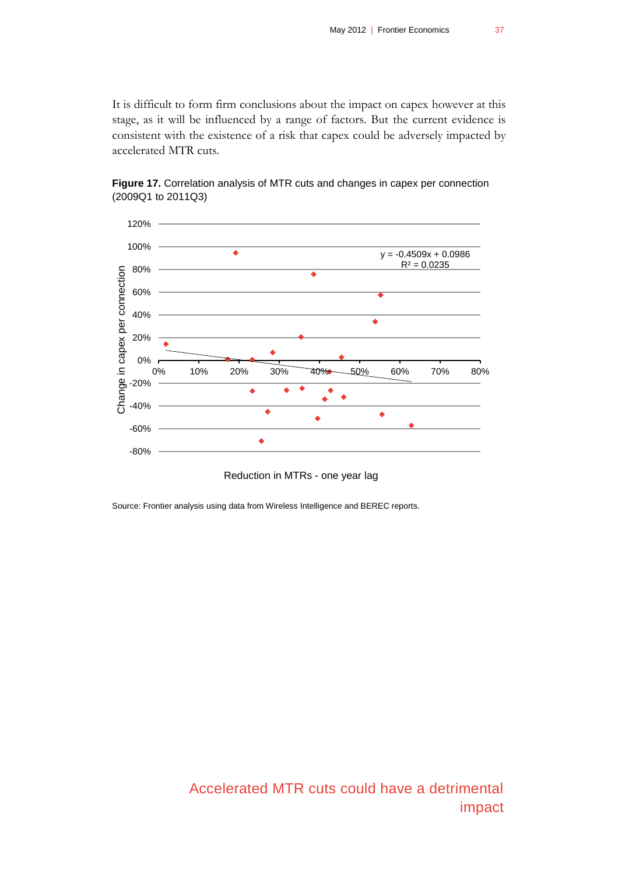It is difficult to form firm conclusions about the impact on capex however at this stage, as it will be influenced by a range of factors. But the current evidence is consistent with the existence of a risk that capex could be adversely impacted by accelerated MTR cuts.



<span id="page-36-0"></span>**Figure 17.** Correlation analysis of MTR cuts and changes in capex per connection (2009Q1 to 2011Q3)

Reduction in MTRs - one year lag

Source: Frontier analysis using data from Wireless Intelligence and BEREC reports.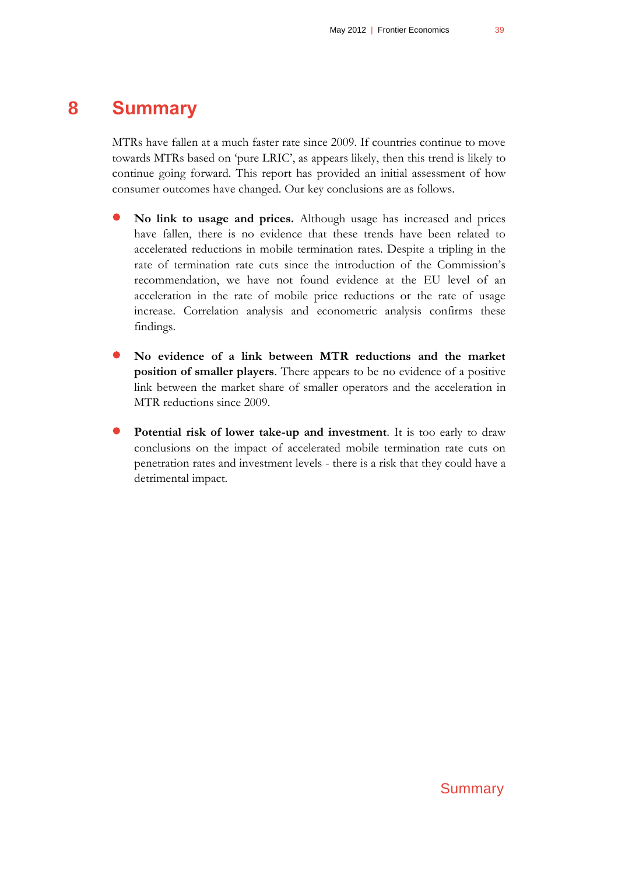# **8 Summary**

<span id="page-38-0"></span>MTRs have fallen at a much faster rate since 2009. If countries continue to move towards MTRs based on 'pure LRIC', as appears likely, then this trend is likely to continue going forward. This report has provided an initial assessment of how consumer outcomes have changed. Our key conclusions are as follows.

- **No link to usage and prices.** Although usage has increased and prices have fallen, there is no evidence that these trends have been related to accelerated reductions in mobile termination rates. Despite a tripling in the rate of termination rate cuts since the introduction of the Commission's recommendation, we have not found evidence at the EU level of an acceleration in the rate of mobile price reductions or the rate of usage increase. Correlation analysis and econometric analysis confirms these findings.
- **No evidence of a link between MTR reductions and the market position of smaller players**. There appears to be no evidence of a positive link between the market share of smaller operators and the acceleration in MTR reductions since 2009.
- **Potential risk of lower take-up and investment**. It is too early to draw conclusions on the impact of accelerated mobile termination rate cuts on penetration rates and investment levels - there is a risk that they could have a detrimental impact.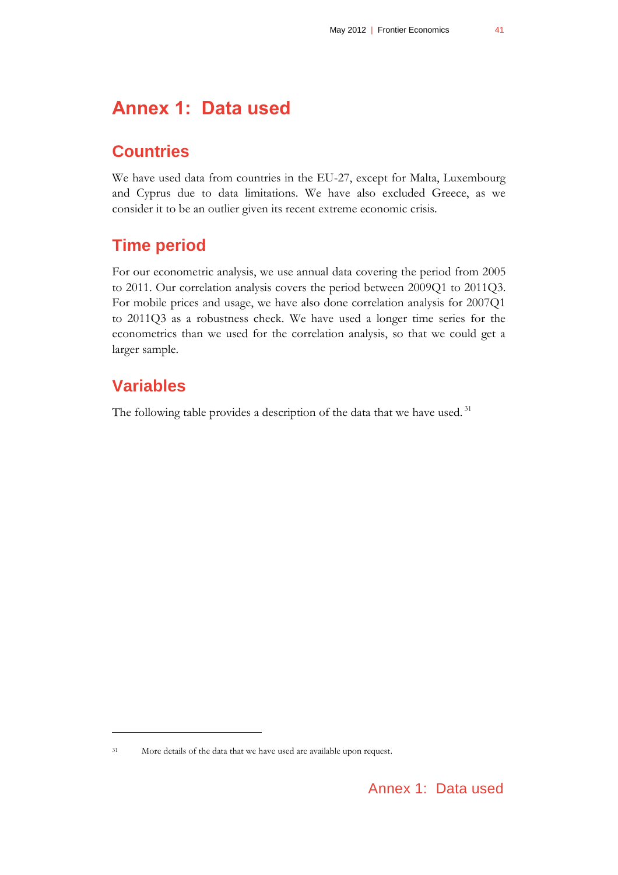# <span id="page-40-0"></span>**Annex 1: Data used**

## **Countries**

We have used data from countries in the EU-27, except for Malta, Luxembourg and Cyprus due to data limitations. We have also excluded Greece, as we consider it to be an outlier given its recent extreme economic crisis.

# **Time period**

For our econometric analysis, we use annual data covering the period from 2005 to 2011. Our correlation analysis covers the period between 2009Q1 to 2011Q3. For mobile prices and usage, we have also done correlation analysis for 2007Q1 to 2011Q3 as a robustness check. We have used a longer time series for the econometrics than we used for the correlation analysis, so that we could get a larger sample.

# **Variables**

 $\overline{a}$ 

The following table provides a description of the data that we have used.<sup>31</sup>

<sup>31</sup> More details of the data that we have used are available upon request.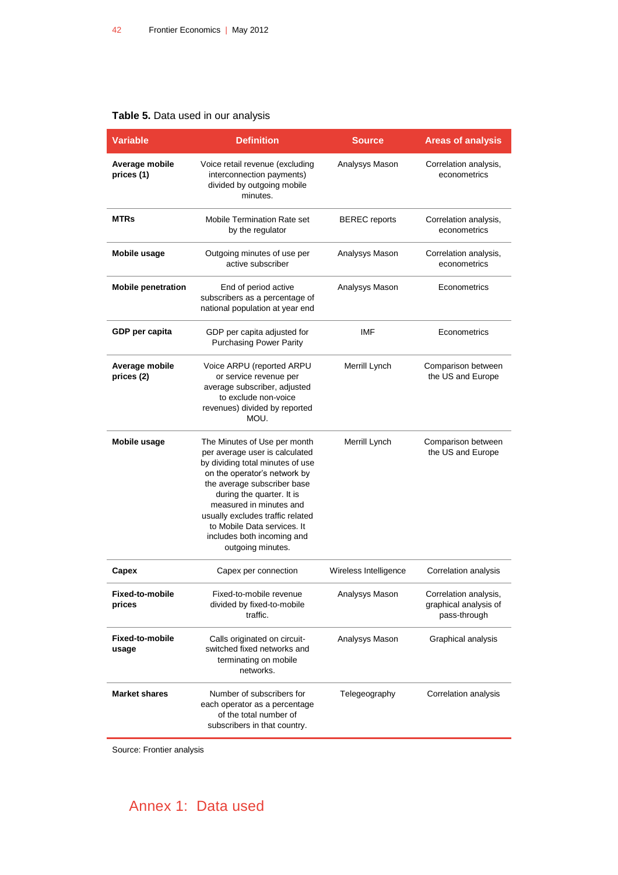#### <span id="page-41-0"></span>**Table 5.** Data used in our analysis

| <b>Variable</b>              | <b>Definition</b>                                                                                                                                                                                                                                                                                                                               | <b>Source</b>         | <b>Areas of analysis</b>                                       |
|------------------------------|-------------------------------------------------------------------------------------------------------------------------------------------------------------------------------------------------------------------------------------------------------------------------------------------------------------------------------------------------|-----------------------|----------------------------------------------------------------|
| Average mobile<br>prices (1) | Voice retail revenue (excluding<br>interconnection payments)<br>divided by outgoing mobile<br>minutes.                                                                                                                                                                                                                                          | Analysys Mason        | Correlation analysis,<br>econometrics                          |
| <b>MTRs</b>                  | <b>Mobile Termination Rate set</b><br>by the regulator                                                                                                                                                                                                                                                                                          | <b>BEREC</b> reports  | Correlation analysis,<br>econometrics                          |
| Mobile usage                 | Outgoing minutes of use per<br>active subscriber                                                                                                                                                                                                                                                                                                | Analysys Mason        | Correlation analysis,<br>econometrics                          |
| <b>Mobile penetration</b>    | End of period active<br>subscribers as a percentage of<br>national population at year end                                                                                                                                                                                                                                                       | Analysys Mason        | Econometrics                                                   |
| GDP per capita               | GDP per capita adjusted for<br><b>Purchasing Power Parity</b>                                                                                                                                                                                                                                                                                   | IMF                   | Econometrics                                                   |
| Average mobile<br>prices (2) | Voice ARPU (reported ARPU<br>or service revenue per<br>average subscriber, adjusted<br>to exclude non-voice<br>revenues) divided by reported<br>MOU.                                                                                                                                                                                            | Merrill Lynch         | Comparison between<br>the US and Europe                        |
| <b>Mobile usage</b>          | The Minutes of Use per month<br>per average user is calculated<br>by dividing total minutes of use<br>on the operator's network by<br>the average subscriber base<br>during the quarter. It is<br>measured in minutes and<br>usually excludes traffic related<br>to Mobile Data services. It<br>includes both incoming and<br>outgoing minutes. | Merrill Lynch         | Comparison between<br>the US and Europe                        |
| Capex                        | Capex per connection                                                                                                                                                                                                                                                                                                                            | Wireless Intelligence | Correlation analysis                                           |
| Fixed-to-mobile<br>prices    | Fixed-to-mobile revenue<br>divided by fixed-to-mobile<br>traffic.                                                                                                                                                                                                                                                                               | Analysys Mason        | Correlation analysis,<br>graphical analysis of<br>pass-through |
| Fixed-to-mobile<br>usage     | Calls originated on circuit-<br>switched fixed networks and<br>terminating on mobile<br>networks.                                                                                                                                                                                                                                               | Analysys Mason        | Graphical analysis                                             |
| <b>Market shares</b>         | Number of subscribers for<br>each operator as a percentage<br>of the total number of<br>subscribers in that country.                                                                                                                                                                                                                            | Telegeography         | Correlation analysis                                           |

Source: Frontier analysis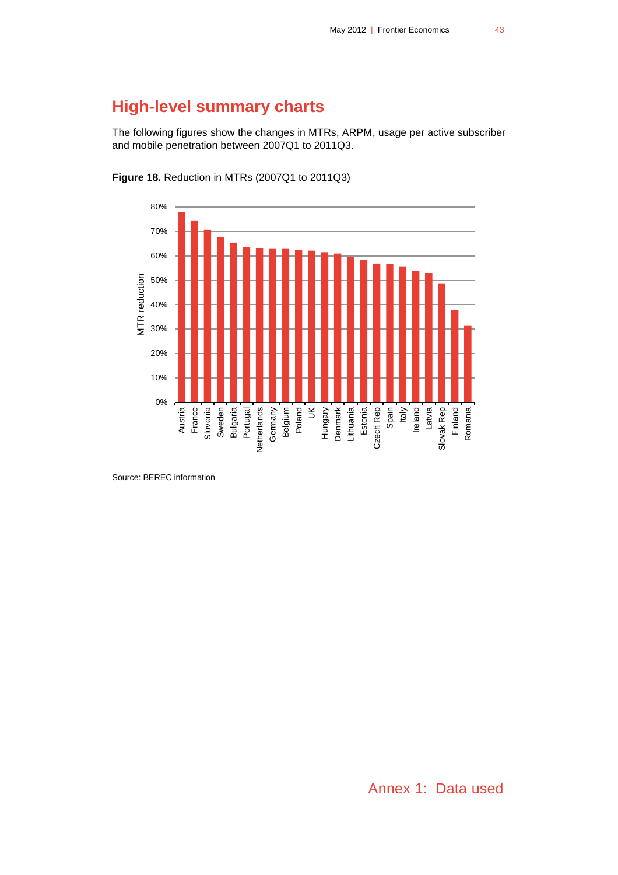# **High-level summary charts**

The following figures show the changes in MTRs, ARPM, usage per active subscriber and mobile penetration between 2007Q1 to 2011Q3.



<span id="page-42-0"></span>**Figure 18.** Reduction in MTRs (2007Q1 to 2011Q3)

Source: BEREC information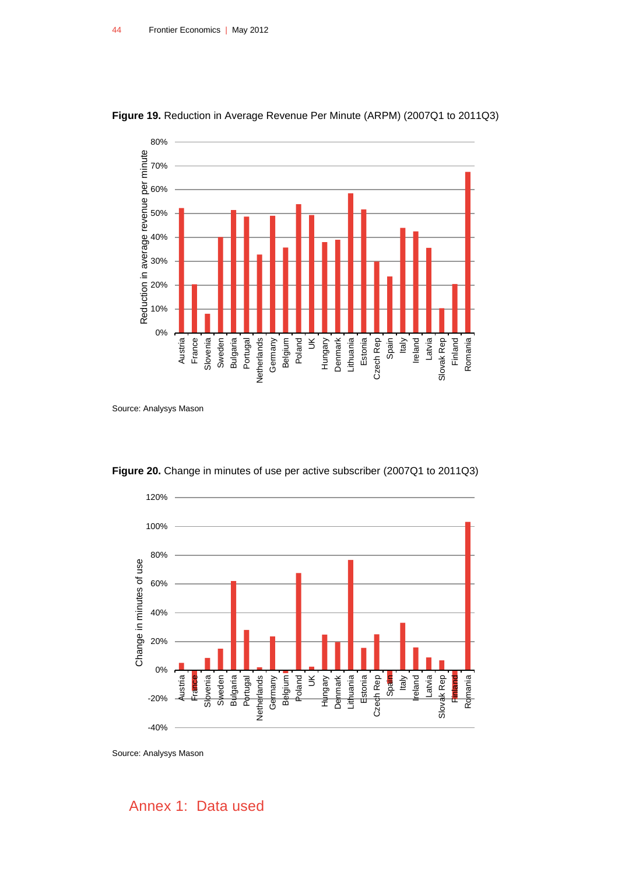

<span id="page-43-0"></span>**Figure 19.** Reduction in Average Revenue Per Minute (ARPM) (2007Q1 to 2011Q3)

Source: Analysys Mason



<span id="page-43-1"></span>**Figure 20.** Change in minutes of use per active subscriber (2007Q1 to 2011Q3)

Source: Analysys Mason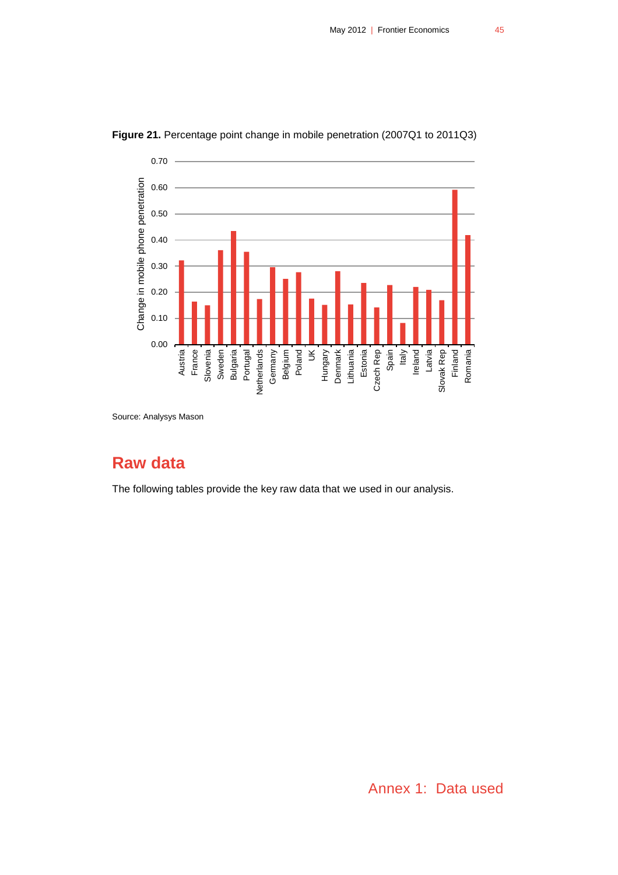

<span id="page-44-0"></span>**Figure 21.** Percentage point change in mobile penetration (2007Q1 to 2011Q3)

Source: Analysys Mason

# **Raw data**

The following tables provide the key raw data that we used in our analysis.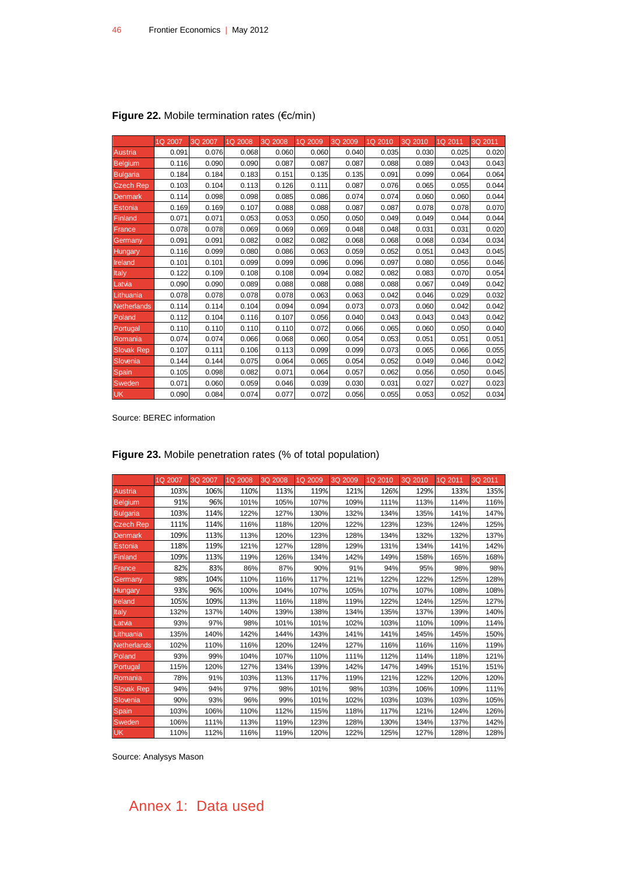|                    | 1Q 2007 | 3Q 2007 | 1Q 2008 | 3Q 2008 | 1Q 2009 | 3Q 2009 | 1Q 2010 | 3Q 2010 | 1Q 2011 | 3Q 2011 |
|--------------------|---------|---------|---------|---------|---------|---------|---------|---------|---------|---------|
| Austria            | 0.091   | 0.076   | 0.068   | 0.060   | 0.060   | 0.040   | 0.035   | 0.030   | 0.025   | 0.020   |
| <b>Belgium</b>     | 0.116   | 0.090   | 0.090   | 0.087   | 0.087   | 0.087   | 0.088   | 0.089   | 0.043   | 0.043   |
| <b>Bulgaria</b>    | 0.184   | 0.184   | 0.183   | 0.151   | 0.135   | 0.135   | 0.091   | 0.099   | 0.064   | 0.064   |
| <b>Czech Rep</b>   | 0.103   | 0.104   | 0.113   | 0.126   | 0.111   | 0.087   | 0.076   | 0.065   | 0.055   | 0.044   |
| <b>Denmark</b>     | 0.114   | 0.098   | 0.098   | 0.085   | 0.086   | 0.074   | 0.074   | 0.060   | 0.060   | 0.044   |
| <b>Estonia</b>     | 0.169   | 0.169   | 0.107   | 0.088   | 0.088   | 0.087   | 0.087   | 0.078   | 0.078   | 0.070   |
| Finland            | 0.071   | 0.071   | 0.053   | 0.053   | 0.050   | 0.050   | 0.049   | 0.049   | 0.044   | 0.044   |
| France             | 0.078   | 0.078   | 0.069   | 0.069   | 0.069   | 0.048   | 0.048   | 0.031   | 0.031   | 0.020   |
| Germany            | 0.091   | 0.091   | 0.082   | 0.082   | 0.082   | 0.068   | 0.068   | 0.068   | 0.034   | 0.034   |
| Hungary            | 0.116   | 0.099   | 0.080   | 0.086   | 0.063   | 0.059   | 0.052   | 0.051   | 0.043   | 0.045   |
| Ireland            | 0.101   | 0.101   | 0.099   | 0.099   | 0.096   | 0.096   | 0.097   | 0.080   | 0.056   | 0.046   |
| Italy              | 0.122   | 0.109   | 0.108   | 0.108   | 0.094   | 0.082   | 0.082   | 0.083   | 0.070   | 0.054   |
| Latvia             | 0.090   | 0.090   | 0.089   | 0.088   | 0.088   | 0.088   | 0.088   | 0.067   | 0.049   | 0.042   |
| Lithuania          | 0.078   | 0.078   | 0.078   | 0.078   | 0.063   | 0.063   | 0.042   | 0.046   | 0.029   | 0.032   |
| <b>Netherlands</b> | 0.114   | 0.114   | 0.104   | 0.094   | 0.094   | 0.073   | 0.073   | 0.060   | 0.042   | 0.042   |
| Poland             | 0.112   | 0.104   | 0.116   | 0.107   | 0.056   | 0.040   | 0.043   | 0.043   | 0.043   | 0.042   |
| Portugal           | 0.110   | 0.110   | 0.110   | 0.110   | 0.072   | 0.066   | 0.065   | 0.060   | 0.050   | 0.040   |
| Romania            | 0.074   | 0.074   | 0.066   | 0.068   | 0.060   | 0.054   | 0.053   | 0.051   | 0.051   | 0.051   |
| <b>Slovak Rep</b>  | 0.107   | 0.111   | 0.106   | 0.113   | 0.099   | 0.099   | 0.073   | 0.065   | 0.066   | 0.055   |
| Slovenia           | 0.144   | 0.144   | 0.075   | 0.064   | 0.065   | 0.054   | 0.052   | 0.049   | 0.046   | 0.042   |
| Spain              | 0.105   | 0.098   | 0.082   | 0.071   | 0.064   | 0.057   | 0.062   | 0.056   | 0.050   | 0.045   |
| Sweden             | 0.071   | 0.060   | 0.059   | 0.046   | 0.039   | 0.030   | 0.031   | 0.027   | 0.027   | 0.023   |
| <b>UK</b>          | 0.090   | 0.084   | 0.074   | 0.077   | 0.072   | 0.056   | 0.055   | 0.053   | 0.052   | 0.034   |

#### <span id="page-45-0"></span>**Figure 22.** Mobile termination rates (€c/min)

Source: BEREC information

|                    | 1Q 2007 | 3Q 2007 | 1Q 2008 | 3Q 2008 | 1Q 2009 | 3Q 2009 | 1Q 2010 | 3Q 2010 | 1Q 2011 | 3Q 2011 |
|--------------------|---------|---------|---------|---------|---------|---------|---------|---------|---------|---------|
| Austria            | 103%    | 106%    | 110%    | 113%    | 119%    | 121%    | 126%    | 129%    | 133%    | 135%    |
| <b>Belgium</b>     | 91%     | 96%     | 101%    | 105%    | 107%    | 109%    | 111%    | 113%    | 114%    | 116%    |
| <b>Bulgaria</b>    | 103%    | 114%    | 122%    | 127%    | 130%    | 132%    | 134%    | 135%    | 141%    | 147%    |
| <b>Czech Rep</b>   | 111%    | 114%    | 116%    | 118%    | 120%    | 122%    | 123%    | 123%    | 124%    | 125%    |
| <b>Denmark</b>     | 109%    | 113%    | 113%    | 120%    | 123%    | 128%    | 134%    | 132%    | 132%    | 137%    |
| <b>Estonia</b>     | 118%    | 119%    | 121%    | 127%    | 128%    | 129%    | 131%    | 134%    | 141%    | 142%    |
| Finland            | 109%    | 113%    | 119%    | 126%    | 134%    | 142%    | 149%    | 158%    | 165%    | 168%    |
| France             | 82%     | 83%     | 86%     | 87%     | 90%     | 91%     | 94%     | 95%     | 98%     | 98%     |
| Germany            | 98%     | 104%    | 110%    | 116%    | 117%    | 121%    | 122%    | 122%    | 125%    | 128%    |
| Hungary            | 93%     | 96%     | 100%    | 104%    | 107%    | 105%    | 107%    | 107%    | 108%    | 108%    |
| Ireland            | 105%    | 109%    | 113%    | 116%    | 118%    | 119%    | 122%    | 124%    | 125%    | 127%    |
| Italy              | 132%    | 137%    | 140%    | 139%    | 138%    | 134%    | 135%    | 137%    | 139%    | 140%    |
| Latvia             | 93%     | 97%     | 98%     | 101%    | 101%    | 102%    | 103%    | 110%    | 109%    | 114%    |
| Lithuania          | 135%    | 140%    | 142%    | 144%    | 143%    | 141%    | 141%    | 145%    | 145%    | 150%    |
| <b>Netherlands</b> | 102%    | 110%    | 116%    | 120%    | 124%    | 127%    | 116%    | 116%    | 116%    | 119%    |
| Poland             | 93%     | 99%     | 104%    | 107%    | 110%    | 111%    | 112%    | 114%    | 118%    | 121%    |
| Portugal           | 115%    | 120%    | 127%    | 134%    | 139%    | 142%    | 147%    | 149%    | 151%    | 151%    |
| Romania            | 78%     | 91%     | 103%    | 113%    | 117%    | 119%    | 121%    | 122%    | 120%    | 120%    |
| <b>Slovak Rep</b>  | 94%     | 94%     | 97%     | 98%     | 101%    | 98%     | 103%    | 106%    | 109%    | 111%    |
| Slovenia           | 90%     | 93%     | 96%     | 99%     | 101%    | 102%    | 103%    | 103%    | 103%    | 105%    |
| Spain              | 103%    | 106%    | 110%    | 112%    | 115%    | 118%    | 117%    | 121%    | 124%    | 126%    |
| Sweden             | 106%    | 111%    | 113%    | 119%    | 123%    | 128%    | 130%    | 134%    | 137%    | 142%    |
| <b>UK</b>          | 110%    | 112%    | 116%    | 119%    | 120%    | 122%    | 125%    | 127%    | 128%    | 128%    |

#### <span id="page-45-1"></span>**Figure 23.** Mobile penetration rates (% of total population)

Source: Analysys Mason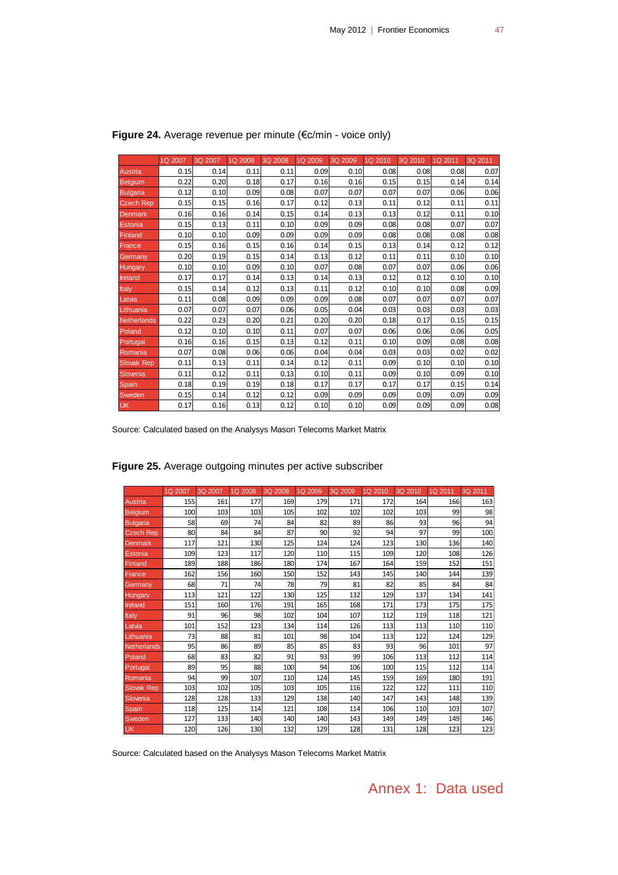|                    | 1Q 2007 | 3Q 2007 | 1Q 2008 | 3Q 2008 | 1Q 2009 | 3Q 2009 | 1Q 2010 | 3Q 2010 | 1Q 2011 | 3Q 2011 |
|--------------------|---------|---------|---------|---------|---------|---------|---------|---------|---------|---------|
| Austria            | 0.15    | 0.14    | 0.11    | 0.11    | 0.09    | 0.10    | 0.08    | 0.08    | 0.08    | 0.07    |
| <b>Belgium</b>     | 0.22    | 0.20    | 0.18    | 0.17    | 0.16    | 0.16    | 0.15    | 0.15    | 0.14    | 0.14    |
| <b>Bulgaria</b>    | 0.12    | 0.10    | 0.09    | 0.08    | 0.07    | 0.07    | 0.07    | 0.07    | 0.06    | 0.06    |
| <b>Czech Rep</b>   | 0.15    | 0.15    | 0.16    | 0.17    | 0.12    | 0.13    | 0.11    | 0.12    | 0.11    | 0.11    |
| <b>Denmark</b>     | 0.16    | 0.16    | 0.14    | 0.15    | 0.14    | 0.13    | 0.13    | 0.12    | 0.11    | 0.10    |
| Estonia            | 0.15    | 0.13    | 0.11    | 0.10    | 0.09    | 0.09    | 0.08    | 0.08    | 0.07    | 0.07    |
| Finland            | 0.10    | 0.10    | 0.09    | 0.09    | 0.09    | 0.09    | 0.08    | 0.08    | 0.08    | 0.08    |
| France             | 0.15    | 0.16    | 0.15    | 0.16    | 0.14    | 0.15    | 0.13    | 0.14    | 0.12    | 0.12    |
| Germany            | 0.20    | 0.19    | 0.15    | 0.14    | 0.13    | 0.12    | 0.11    | 0.11    | 0.10    | 0.10    |
| Hungary            | 0.10    | 0.10    | 0.09    | 0.10    | 0.07    | 0.08    | 0.07    | 0.07    | 0.06    | 0.06    |
| Ireland            | 0.17    | 0.17    | 0.14    | 0.13    | 0.14    | 0.13    | 0.12    | 0.12    | 0.10    | 0.10    |
| Italy              | 0.15    | 0.14    | 0.12    | 0.13    | 0.11    | 0.12    | 0.10    | 0.10    | 0.08    | 0.09    |
| Latvia             | 0.11    | 0.08    | 0.09    | 0.09    | 0.09    | 0.08    | 0.07    | 0.07    | 0.07    | 0.07    |
| Lithuania          | 0.07    | 0.07    | 0.07    | 0.06    | 0.05    | 0.04    | 0.03    | 0.03    | 0.03    | 0.03    |
| <b>Netherlands</b> | 0.22    | 0.23    | 0.20    | 0.21    | 0.20    | 0.20    | 0.18    | 0.17    | 0.15    | 0.15    |
| Poland             | 0.12    | 0.10    | 0.10    | 0.11    | 0.07    | 0.07    | 0.06    | 0.06    | 0.06    | 0.05    |
| Portugal           | 0.16    | 0.16    | 0.15    | 0.13    | 0.12    | 0.11    | 0.10    | 0.09    | 0.08    | 0.08    |
| Romania            | 0.07    | 0.08    | 0.06    | 0.06    | 0.04    | 0.04    | 0.03    | 0.03    | 0.02    | 0.02    |
| <b>Slovak Rep</b>  | 0.11    | 0.13    | 0.11    | 0.14    | 0.12    | 0.11    | 0.09    | 0.10    | 0.10    | 0.10    |
| Slovenia           | 0.11    | 0.12    | 0.11    | 0.13    | 0.10    | 0.11    | 0.09    | 0.10    | 0.09    | 0.10    |
| <b>Spain</b>       | 0.18    | 0.19    | 0.19    | 0.18    | 0.17    | 0.17    | 0.17    | 0.17    | 0.15    | 0.14    |
| Sweden             | 0.15    | 0.14    | 0.12    | 0.12    | 0.09    | 0.09    | 0.09    | 0.09    | 0.09    | 0.09    |
| <b>UK</b>          | 0.17    | 0.16    | 0.13    | 0.12    | 0.10    | 0.10    | 0.09    | 0.09    | 0.09    | 0.08    |

#### <span id="page-46-0"></span>**Figure 24.** Average revenue per minute (€c/min - voice only)

Source: Calculated based on the Analysys Mason Telecoms Market Matrix

|                    | 1Q 2007 | 3Q 2007 | 1Q 2008 | 3Q 2008 | 1Q 2009 | 3Q 2009 | 1Q 2010 | 3Q 2010 | 1Q 2011 | 3Q 2011 |
|--------------------|---------|---------|---------|---------|---------|---------|---------|---------|---------|---------|
| Austria            | 155     | 161     | 177     | 169     | 179     | 171     | 172     | 164     | 166     | 163     |
| <b>Belgium</b>     | 100     | 103     | 103     | 105     | 102     | 102     | 102     | 103     | 99      | 98      |
| <b>Bulgaria</b>    | 58      | 69      | 74      | 84      | 82      | 89      | 86      | 93      | 96      | 94      |
| <b>Czech Rep</b>   | 80      | 84      | 84      | 87      | 90      | 92      | 94      | 97      | 99      | 100     |
| <b>Denmark</b>     | 117     | 121     | 130     | 125     | 124     | 124     | 123     | 130     | 136     | 140     |
| Estonia            | 109     | 123     | 117     | 120     | 110     | 115     | 109     | 120     | 108     | 126     |
| Finland            | 189     | 188     | 186     | 180     | 174     | 167     | 164     | 159     | 152     | 151     |
| France             | 162     | 156     | 160     | 150     | 152     | 143     | 145     | 140     | 144     | 139     |
| Germany            | 68      | 71      | 74      | 78      | 79      | 81      | 82      | 85      | 84      | 84      |
| Hungary            | 113     | 121     | 122     | 130     | 125     | 132     | 129     | 137     | 134     | 141     |
| Ireland            | 151     | 160     | 176     | 191     | 165     | 168     | 171     | 173     | 175     | 175     |
| Italy              | 91      | 96      | 98      | 102     | 104     | 107     | 112     | 119     | 118     | 121     |
| Latvia             | 101     | 152     | 123     | 134     | 114     | 126     | 113     | 113     | 110     | 110     |
| Lithuania          | 73      | 88      | 81      | 101     | 98      | 104     | 113     | 122     | 124     | 129     |
| <b>Netherlands</b> | 95      | 86      | 89      | 85      | 85      | 83      | 93      | 96      | 101     | 97      |
| Poland             | 68      | 83      | 82      | 91      | 93      | 99      | 106     | 113     | 112     | 114     |
| Portugal           | 89      | 95      | 88      | 100     | 94      | 106     | 100     | 115     | 112     | 114     |
| Romania            | 94      | 99      | 107     | 110     | 124     | 145     | 159     | 169     | 180     | 191     |
| <b>Slovak Rep</b>  | 103     | 102     | 105     | 103     | 105     | 116     | 122     | 122     | 111     | 110     |
| Slovenia           | 128     | 128     | 133     | 129     | 138     | 140     | 147     | 143     | 148     | 139     |
| <b>Spain</b>       | 118     | 125     | 114     | 121     | 108     | 114     | 106     | 110     | 103     | 107     |
| Sweden             | 127     | 133     | 140     | 140     | 140     | 143     | 149     | 149     | 149     | 146     |
| <b>UK</b>          | 120     | 126     | 130     | 132     | 129     | 128     | 131     | 128     | 123     | 123     |

#### <span id="page-46-1"></span>**Figure 25.** Average outgoing minutes per active subscriber

Source: Calculated based on the Analysys Mason Telecoms Market Matrix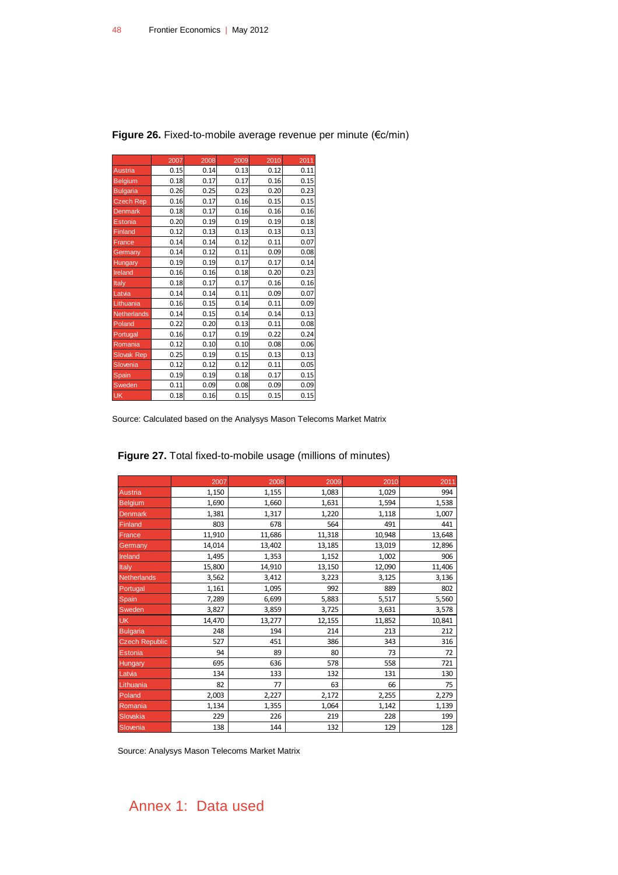|                    | 2007 | 2008 | 2009 | 2010 | 2011 |
|--------------------|------|------|------|------|------|
| <b>Austria</b>     | 0.15 | 0.14 | 0.13 | 0.12 | 0.11 |
| <b>Belgium</b>     | 0.18 | 0.17 | 0.17 | 0.16 | 0.15 |
| <b>Bulgaria</b>    | 0.26 | 0.25 | 0.23 | 0.20 | 0.23 |
| <b>Czech Rep</b>   | 0.16 | 0.17 | 0.16 | 0.15 | 0.15 |
| <b>Denmark</b>     | 0.18 | 0.17 | 0.16 | 0.16 | 0.16 |
| Estonia            | 0.20 | 0.19 | 0.19 | 0.19 | 0.18 |
| Finland            | 0.12 | 0.13 | 0.13 | 0.13 | 0.13 |
| France             | 0.14 | 0.14 | 0.12 | 0.11 | 0.07 |
| Germany            | 0.14 | 0.12 | 0.11 | 0.09 | 0.08 |
| Hungary            | 0.19 | 0.19 | 0.17 | 0.17 | 0.14 |
| Ireland            | 0.16 | 0.16 | 0.18 | 0.20 | 0.23 |
| Italy              | 0.18 | 0.17 | 0.17 | 0.16 | 0.16 |
| Latvia             | 0.14 | 0.14 | 0.11 | 0.09 | 0.07 |
| Lithuania          | 0.16 | 0.15 | 0.14 | 0.11 | 0.09 |
| <b>Netherlands</b> | 0.14 | 0.15 | 0.14 | 0.14 | 0.13 |
| Poland             | 0.22 | 0.20 | 0.13 | 0.11 | 0.08 |
| Portugal           | 0.16 | 0.17 | 0.19 | 0.22 | 0.24 |
| Romania            | 0.12 | 0.10 | 0.10 | 0.08 | 0.06 |
| <b>Slovak Rep</b>  | 0.25 | 0.19 | 0.15 | 0.13 | 0.13 |
| Slovenia           | 0.12 | 0.12 | 0.12 | 0.11 | 0.05 |
| Spain              | 0.19 | 0.19 | 0.18 | 0.17 | 0.15 |
| Sweden             | 0.11 | 0.09 | 0.08 | 0.09 | 0.09 |
| <b>UK</b>          | 0.18 | 0.16 | 0.15 | 0.15 | 0.15 |

<span id="page-47-0"></span>**Figure 26.** Fixed-to-mobile average revenue per minute (€c/min)

Source: Calculated based on the Analysys Mason Telecoms Market Matrix

2007 2008 2009 2010 2011 Austria 1,150 1,155 1,083 1,029 994 Belgium 1,690 1,660 1,631 1,594 1,538 Denmark 1,381 1,381 1,220 1,118 1,007 Finland 1903 1903 1904 1904 1912 1920 1930 1944 1950 1944 1950 1944 1950 1950 1961 1970 1981 1982 19 **France 11,910** 11,686 11,318 10,948 13,648 Germany 14,014 13,402 13,185 13,019 12,896 Ireland 1,495 1,495 1,353 1,152 1,002 906 Italy 15,800 14,910 13,150 12,090 11,406 Netherlands 3,562 3,412 3,223 3,125 3,136 Portugal 1,161 1,095 992 889 802 Spain 1,289 6,699 5,883 5,517 5,560 Sweden 3,827 3,827 3,859 3,725 3,631 3,578 UK 14,470 13,277 12,155 11,852 10,841 Bulgaria 194 | 248 | 248 | 214 | 214 | 213 | 212 Czech Republic 527 451 386 343 316 Estonia 94 89 80 73 72 Hungary 19, 19, 1995 695 636 578 578 558 558 721 Latvia 1910 134 133 132 133 134 130 Lithuania | 82 77 63 66 75 Poland 2,003 2,227 2,172 2,255 2,279 Romania 1,134 1,355 1,064 1,142 1,139 Slovakia 229 226 219 228 199 Slovenia 138 138 144 132 129 129 128

<span id="page-47-1"></span>**Figure 27.** Total fixed-to-mobile usage (millions of minutes)

Source: Analysys Mason Telecoms Market Matrix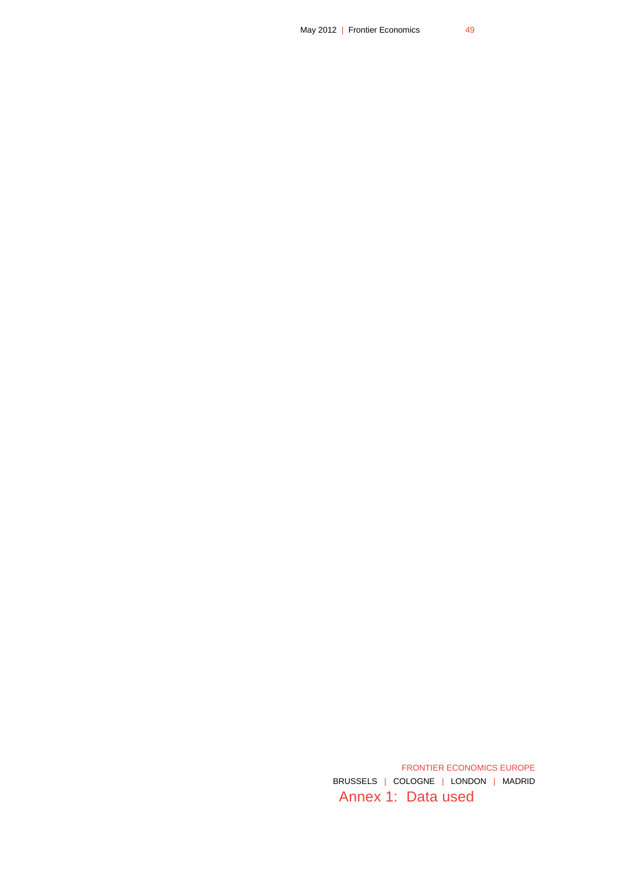Annex 1: Data used FRONTIER ECONOMICS EUROPE BRUSSELS | COLOGNE | LONDON | MADRID